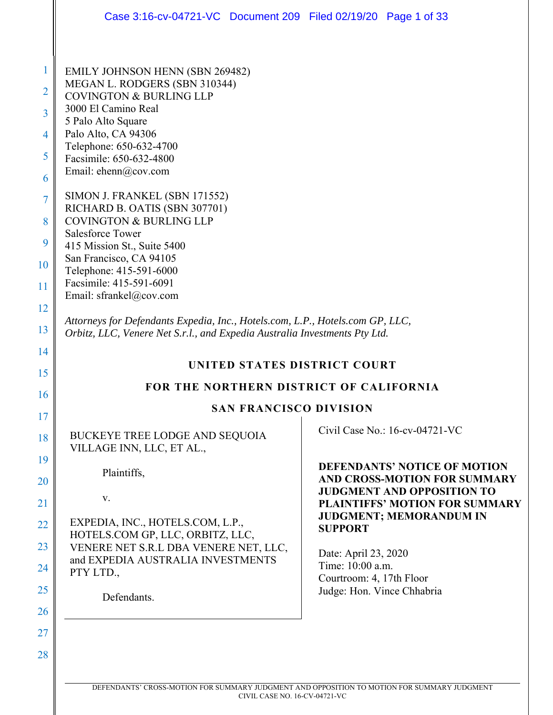|                                                                                             | Case 3:16-cv-04721-VC Document 209 Filed 02/19/20 Page 1 of 33                                                                                                                                                                                                                                                                                                                                                                                                                                                                                                                                                                                                                                               |                                                                            |  |
|---------------------------------------------------------------------------------------------|--------------------------------------------------------------------------------------------------------------------------------------------------------------------------------------------------------------------------------------------------------------------------------------------------------------------------------------------------------------------------------------------------------------------------------------------------------------------------------------------------------------------------------------------------------------------------------------------------------------------------------------------------------------------------------------------------------------|----------------------------------------------------------------------------|--|
| 1<br>2<br>$\overline{3}$<br>4<br>5<br>6<br>$\overline{7}$<br>8<br>9<br>10<br>11<br>12<br>13 | <b>EMILY JOHNSON HENN (SBN 269482)</b><br>MEGAN L. RODGERS (SBN 310344)<br><b>COVINGTON &amp; BURLING LLP</b><br>3000 El Camino Real<br>5 Palo Alto Square<br>Palo Alto, CA 94306<br>Telephone: 650-632-4700<br>Facsimile: 650-632-4800<br>Email: ehenn@cov.com<br>SIMON J. FRANKEL (SBN 171552)<br>RICHARD B. OATIS (SBN 307701)<br><b>COVINGTON &amp; BURLING LLP</b><br><b>Salesforce Tower</b><br>415 Mission St., Suite 5400<br>San Francisco, CA 94105<br>Telephone: 415-591-6000<br>Facsimile: 415-591-6091<br>Email: sfrankel@cov.com<br>Attorneys for Defendants Expedia, Inc., Hotels.com, L.P., Hotels.com GP, LLC,<br>Orbitz, LLC, Venere Net S.r.l., and Expedia Australia Investments Pty Ltd. |                                                                            |  |
| 14<br>15                                                                                    | UNITED STATES DISTRICT COURT                                                                                                                                                                                                                                                                                                                                                                                                                                                                                                                                                                                                                                                                                 |                                                                            |  |
| 16                                                                                          | FOR THE NORTHERN DISTRICT OF CALIFORNIA                                                                                                                                                                                                                                                                                                                                                                                                                                                                                                                                                                                                                                                                      |                                                                            |  |
| 17                                                                                          | <b>SAN FRANCISCO DIVISION</b>                                                                                                                                                                                                                                                                                                                                                                                                                                                                                                                                                                                                                                                                                |                                                                            |  |
| 18                                                                                          | BUCKEYE TREE LODGE AND SEQUOIA<br>VILLAGE INN, LLC, ET AL.,                                                                                                                                                                                                                                                                                                                                                                                                                                                                                                                                                                                                                                                  | Civil Case No.: 16-cv-04721-VC                                             |  |
| 19<br>20                                                                                    | Plaintiffs,                                                                                                                                                                                                                                                                                                                                                                                                                                                                                                                                                                                                                                                                                                  | <b>DEFENDANTS' NOTICE OF MOTION</b><br>AND CROSS-MOTION FOR SUMMARY        |  |
| 21                                                                                          | V.                                                                                                                                                                                                                                                                                                                                                                                                                                                                                                                                                                                                                                                                                                           | <b>JUDGMENT AND OPPOSITION TO</b><br><b>PLAINTIFFS' MOTION FOR SUMMARY</b> |  |
| 22                                                                                          | EXPEDIA, INC., HOTELS.COM, L.P.,                                                                                                                                                                                                                                                                                                                                                                                                                                                                                                                                                                                                                                                                             | <b>JUDGMENT; MEMORANDUM IN</b><br><b>SUPPORT</b>                           |  |
| 23                                                                                          | HOTELS.COM GP, LLC, ORBITZ, LLC,<br>VENERE NET S.R.L DBA VENERE NET, LLC,                                                                                                                                                                                                                                                                                                                                                                                                                                                                                                                                                                                                                                    | Date: April 23, 2020                                                       |  |
| 24                                                                                          | and EXPEDIA AUSTRALIA INVESTMENTS<br>PTY LTD.,                                                                                                                                                                                                                                                                                                                                                                                                                                                                                                                                                                                                                                                               | Time: 10:00 a.m.<br>Courtroom: 4, 17th Floor                               |  |
| 25                                                                                          | Defendants.                                                                                                                                                                                                                                                                                                                                                                                                                                                                                                                                                                                                                                                                                                  | Judge: Hon. Vince Chhabria                                                 |  |
| 26                                                                                          |                                                                                                                                                                                                                                                                                                                                                                                                                                                                                                                                                                                                                                                                                                              |                                                                            |  |
| 27                                                                                          |                                                                                                                                                                                                                                                                                                                                                                                                                                                                                                                                                                                                                                                                                                              |                                                                            |  |
| 28                                                                                          |                                                                                                                                                                                                                                                                                                                                                                                                                                                                                                                                                                                                                                                                                                              |                                                                            |  |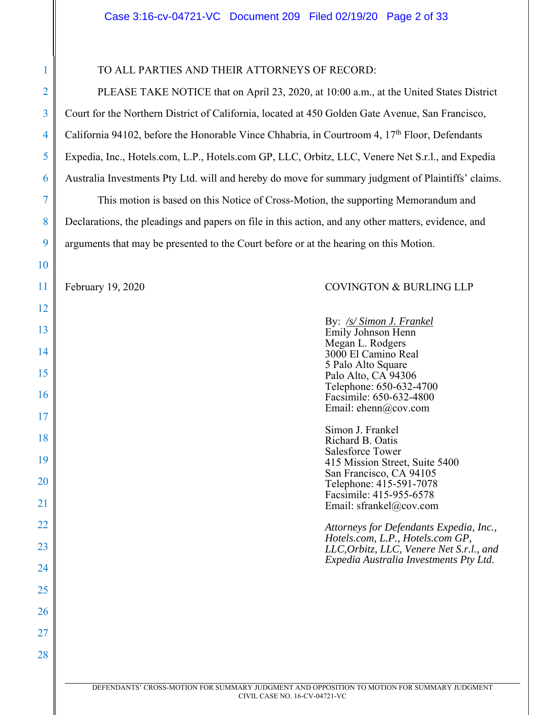## TO ALL PARTIES AND THEIR ATTORNEYS OF RECORD:

PLEASE TAKE NOTICE that on April 23, 2020, at 10:00 a.m., at the United States District Court for the Northern District of California, located at 450 Golden Gate Avenue, San Francisco, California 94102, before the Honorable Vince Chhabria, in Courtroom 4, 17<sup>th</sup> Floor, Defendants Expedia, Inc., Hotels.com, L.P., Hotels.com GP, LLC, Orbitz, LLC, Venere Net S.r.l., and Expedia Australia Investments Pty Ltd. will and hereby do move for summary judgment of Plaintiffs' claims.

This motion is based on this Notice of Cross-Motion, the supporting Memorandum and Declarations, the pleadings and papers on file in this action, and any other matters, evidence, and arguments that may be presented to the Court before or at the hearing on this Motion.

1

2

3

4

5

6

7

8

9

10

11

12

13

14

15

16

17

18

19

20

21

22

23

24

25

26

27

28

### February 19, 2020 COVINGTON & BURLING LLP

By: */s/ Simon J. Frankel* Emily Johnson Henn Megan L. Rodgers 3000 El Camino Real 5 Palo Alto Square Palo Alto, CA 94306 Telephone: 650-632-4700 Facsimile: 650-632-4800 Email: ehenn@cov.com Simon J. Frankel Richard B. Oatis Salesforce Tower 415 Mission Street, Suite 5400 San Francisco, CA 94105 Telephone: 415-591-7078

Facsimile: 415-955-6578 Email: sfrankel@cov.com

*Attorneys for Defendants Expedia, Inc., Hotels.com, L.P., Hotels.com GP, LLC,Orbitz, LLC, Venere Net S.r.l., and Expedia Australia Investments Pty Ltd.*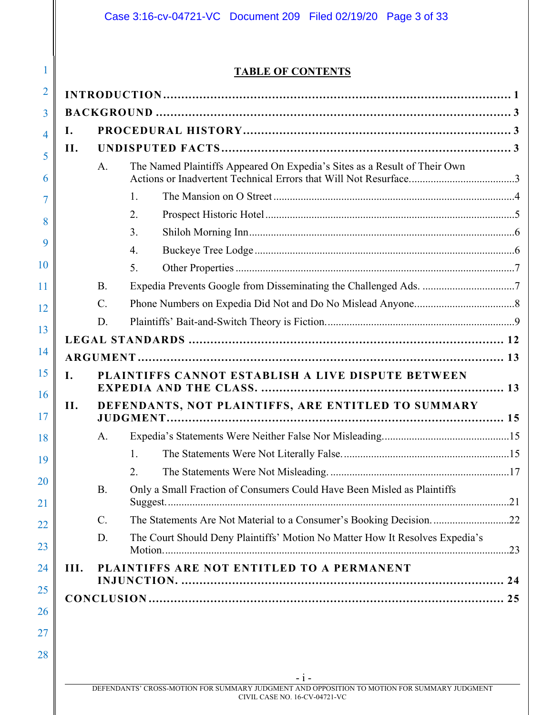# **TABLE OF CONTENTS**

| Ι.   |           |                                                                              |  |
|------|-----------|------------------------------------------------------------------------------|--|
| II.  |           |                                                                              |  |
|      | A.        | The Named Plaintiffs Appeared On Expedia's Sites as a Result of Their Own    |  |
|      |           | $\mathbf{1}$ .                                                               |  |
|      |           | 2.                                                                           |  |
|      |           | 3.                                                                           |  |
|      |           | 4.                                                                           |  |
|      |           | 5.                                                                           |  |
|      | <b>B.</b> |                                                                              |  |
|      | $C$ .     |                                                                              |  |
|      | D.        |                                                                              |  |
|      |           |                                                                              |  |
|      |           |                                                                              |  |
| L.   |           | PLAINTIFFS CANNOT ESTABLISH A LIVE DISPUTE BETWEEN                           |  |
| II.  |           | DEFENDANTS, NOT PLAINTIFFS, ARE ENTITLED TO SUMMARY                          |  |
|      | A.        |                                                                              |  |
|      |           | 1.                                                                           |  |
|      |           | 2.                                                                           |  |
|      | <b>B.</b> | Only a Small Fraction of Consumers Could Have Been Misled as Plaintiffs      |  |
|      | $C$ .     |                                                                              |  |
|      | D.        | The Court Should Deny Plaintiffs' Motion No Matter How It Resolves Expedia's |  |
| III. |           | PLAINTIFFS ARE NOT ENTITLED TO A PERMANENT                                   |  |
|      |           |                                                                              |  |
|      |           |                                                                              |  |
|      |           |                                                                              |  |

28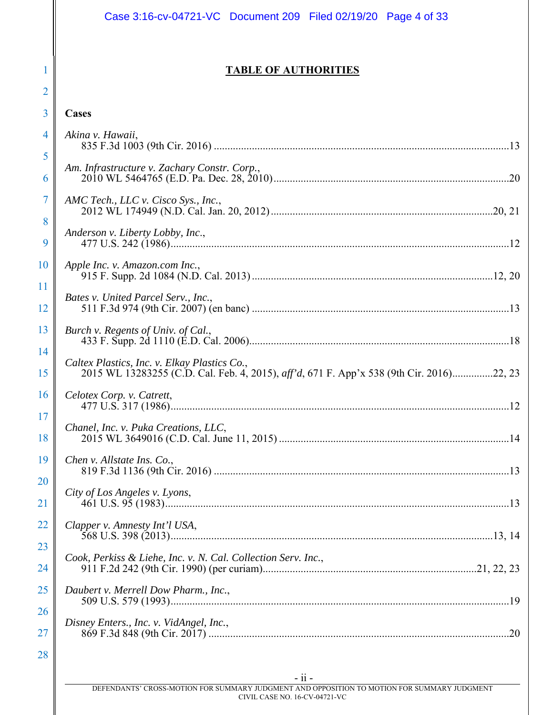|          | Case 3:16-cv-04721-VC Document 209 Filed 02/19/20 Page 4 of 33                                                                           |
|----------|------------------------------------------------------------------------------------------------------------------------------------------|
|          |                                                                                                                                          |
|          | <b>TABLE OF AUTHORITIES</b>                                                                                                              |
| 2        |                                                                                                                                          |
| 3        | Cases                                                                                                                                    |
| 4        | Akina v. Hawaii,                                                                                                                         |
| 5<br>6   | Am. Infrastructure v. Zachary Constr. Corp.,                                                                                             |
| 7<br>8   | AMC Tech., LLC v. Cisco Sys., Inc.,                                                                                                      |
| 9        | Anderson v. Liberty Lobby, Inc.,                                                                                                         |
| 10<br>11 | Apple Inc. v. Amazon.com Inc.,                                                                                                           |
| 12       | Bates v. United Parcel Serv., Inc.,                                                                                                      |
| 13<br>14 | Burch v. Regents of Univ. of Cal.,                                                                                                       |
| 15       | Caltex Plastics, Inc. v. Elkay Plastics Co.,<br>2015 WL 13283255 (C.D. Cal. Feb. 4, 2015), aff'd, 671 F. App'x 538 (9th Cir. 2016)22, 23 |
| 16<br>17 | Celotex Corp. v. Catrett,                                                                                                                |
| 18       | Chanel, Inc. v. Puka Creations, LLC,                                                                                                     |
| 19<br>20 | Chen v. Allstate Ins. Co.,                                                                                                               |
| 21       | City of Los Angeles v. Lyons,                                                                                                            |
| 22       | Clapper v. Amnesty Int'l USA,                                                                                                            |
| 23<br>24 | Cook, Perkiss & Liehe, Inc. v. N. Cal. Collection Serv. Inc.,                                                                            |
| 25       | Daubert v. Merrell Dow Pharm., Inc.,                                                                                                     |
| 26<br>27 | Disney Enters., Inc. v. VidAngel, Inc.,                                                                                                  |
| 28       |                                                                                                                                          |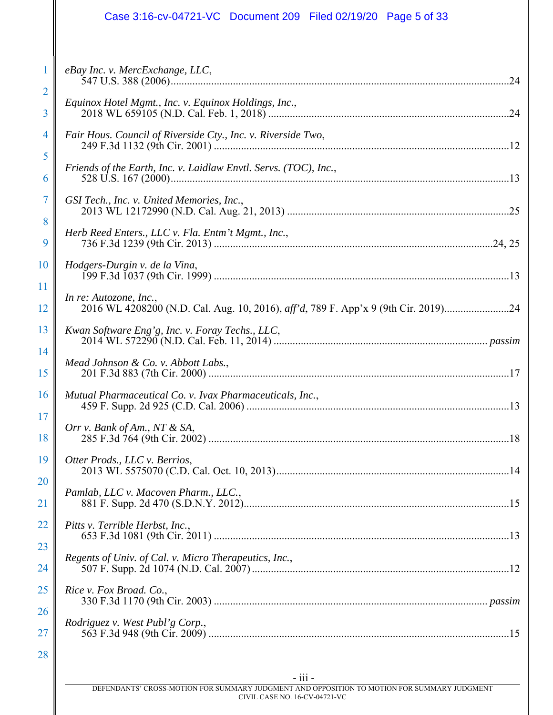# Case 3:16-cv-04721-VC Document 209 Filed 02/19/20 Page 5 of 33

|                        | eBay Inc. v. MercExchange, LLC,                                                                              |
|------------------------|--------------------------------------------------------------------------------------------------------------|
| $\overline{2}$<br>3    | Equinox Hotel Mgmt., Inc. v. Equinox Holdings, Inc.,                                                         |
| 4                      | Fair Hous. Council of Riverside Cty., Inc. v. Riverside Two,                                                 |
| 5<br>6                 | Friends of the Earth, Inc. v. Laidlaw Envtl. Servs. (TOC), Inc.,                                             |
| 7                      | GSI Tech., Inc. v. United Memories, Inc.,                                                                    |
| 8<br>9                 | Herb Reed Enters., LLC v. Fla. Entm't Mgmt., Inc.,                                                           |
| <b>10</b>              | Hodgers-Durgin v. de la Vina,                                                                                |
| <sup>11</sup><br>12    | In re: Autozone, Inc.,<br>2016 WL 4208200 (N.D. Cal. Aug. 10, 2016), aff'd, 789 F. App'x 9 (9th Cir. 2019)24 |
| 13                     | Kwan Software Eng'g, Inc. v. Foray Techs., LLC,                                                              |
| 14<br>15               | Mead Johnson & Co. v. Abbott Labs.,                                                                          |
| <b>16</b>              | Mutual Pharmaceutical Co. v. Ivax Pharmaceuticals, Inc.,                                                     |
| 17<br>18               | Orr v. Bank of Am., NT & SA,                                                                                 |
| 19                     | Otter Prods., LLC v. Berrios,                                                                                |
| <b>20</b><br><u>21</u> | Pamlab, LLC v. Macoven Pharm., LLC.,                                                                         |
| <u>22</u>              | Pitts v. Terrible Herbst, Inc.,                                                                              |
| 23<br>24               | Regents of Univ. of Cal. v. Micro Therapeutics, Inc.,                                                        |
| 25                     | Rice v. Fox Broad. Co.,                                                                                      |
| <b>26</b><br><b>27</b> | Rodriguez v. West Publ'g Corp.,                                                                              |
| 28                     |                                                                                                              |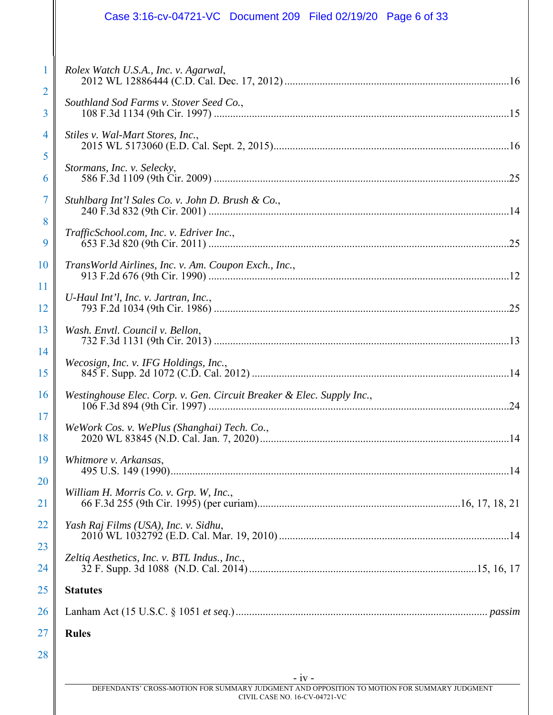# Case 3:16-cv-04721-VC Document 209 Filed 02/19/20 Page 6 of 33

| 24<br>25       | <b>Statutes</b>                                                       |
|----------------|-----------------------------------------------------------------------|
| 23             | Zeltiq Aesthetics, Inc. v. BTL Indus., Inc.,                          |
| 22             | Yash Raj Films (USA), Inc. v. Sidhu,                                  |
| 20<br>21       | William H. Morris Co. v. Grp. W, Inc.,                                |
| 19             | Whitmore v. Arkansas,                                                 |
| 18             | WeWork Cos. v. WePlus (Shanghai) Tech. Co.,                           |
| 16<br>17       | Westinghouse Elec. Corp. v. Gen. Circuit Breaker & Elec. Supply Inc., |
| 15             | Wecosign, Inc. v. IFG Holdings, Inc.,                                 |
| 14             |                                                                       |
| 13             | Wash. Envtl. Council v. Bellon,                                       |
| 11<br>12       | U-Haul Int'l, Inc. v. Jartran, Inc.,                                  |
| 10             | TransWorld Airlines, Inc. v. Am. Coupon Exch., Inc.,                  |
| 9              | TrafficSchool.com, Inc. v. Edriver Inc.,                              |
| 7<br>8         | Stuhlbarg Int'l Sales Co. v. John D. Brush & Co.,                     |
| 6              | Stormans, Inc. v. Selecky,                                            |
| 4<br>5         | Stiles v. Wal-Mart Stores, Inc.,                                      |
| 3              | Southland Sod Farms v. Stover Seed Co.,                               |
| $\overline{2}$ |                                                                       |
| T              | Rolex Watch U.S.A., Inc. v. Agarwal,                                  |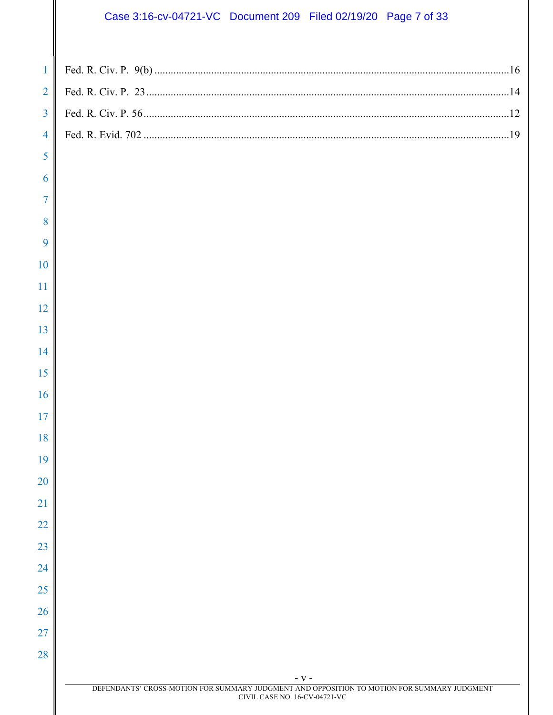# Case 3:16-cv-04721-VC Document 209 Filed 02/19/20 Page 7 of 33

 $\mathbb{I}$ 

| $\mathbf{1}$   |                                                                                                      |  |
|----------------|------------------------------------------------------------------------------------------------------|--|
| $\overline{2}$ |                                                                                                      |  |
| $\overline{3}$ |                                                                                                      |  |
| $\overline{4}$ |                                                                                                      |  |
| 5              |                                                                                                      |  |
| 6              |                                                                                                      |  |
| 7              |                                                                                                      |  |
| 8              |                                                                                                      |  |
| 9              |                                                                                                      |  |
| 10             |                                                                                                      |  |
| 11             |                                                                                                      |  |
| 12             |                                                                                                      |  |
| 13             |                                                                                                      |  |
| 14             |                                                                                                      |  |
| 15             |                                                                                                      |  |
| 16             |                                                                                                      |  |
| 17             |                                                                                                      |  |
| 18             |                                                                                                      |  |
| 19             |                                                                                                      |  |
| 20             |                                                                                                      |  |
| 21             |                                                                                                      |  |
| 22             |                                                                                                      |  |
| 23             |                                                                                                      |  |
| 24             |                                                                                                      |  |
| 25             |                                                                                                      |  |
| 26             |                                                                                                      |  |
| 27             |                                                                                                      |  |
| 28             |                                                                                                      |  |
|                | - V -<br>DEFENDANTS' CROSS-MOTION FOR SUMMARY JUDGMENT AND OPPOSITION TO MOTION FOR SUMMARY JUDGMENT |  |
|                | CIVIL CASE NO. 16-CV-04721-VC                                                                        |  |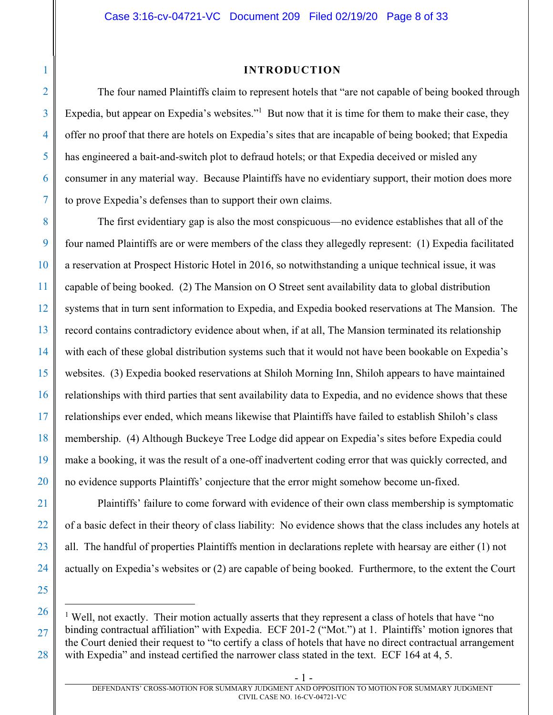## **INTRODUCTION**

The four named Plaintiffs claim to represent hotels that "are not capable of being booked through Expedia, but appear on Expedia's websites."<sup>1</sup> But now that it is time for them to make their case, they offer no proof that there are hotels on Expedia's sites that are incapable of being booked; that Expedia has engineered a bait-and-switch plot to defraud hotels; or that Expedia deceived or misled any consumer in any material way. Because Plaintiffs have no evidentiary support, their motion does more to prove Expedia's defenses than to support their own claims.

The first evidentiary gap is also the most conspicuous—no evidence establishes that all of the four named Plaintiffs are or were members of the class they allegedly represent: (1) Expedia facilitated a reservation at Prospect Historic Hotel in 2016, so notwithstanding a unique technical issue, it was capable of being booked. (2) The Mansion on O Street sent availability data to global distribution systems that in turn sent information to Expedia, and Expedia booked reservations at The Mansion. The record contains contradictory evidence about when, if at all, The Mansion terminated its relationship with each of these global distribution systems such that it would not have been bookable on Expedia's websites. (3) Expedia booked reservations at Shiloh Morning Inn, Shiloh appears to have maintained relationships with third parties that sent availability data to Expedia, and no evidence shows that these relationships ever ended, which means likewise that Plaintiffs have failed to establish Shiloh's class membership. (4) Although Buckeye Tree Lodge did appear on Expedia's sites before Expedia could make a booking, it was the result of a one-off inadvertent coding error that was quickly corrected, and no evidence supports Plaintiffs' conjecture that the error might somehow become un-fixed.

Plaintiffs' failure to come forward with evidence of their own class membership is symptomatic of a basic defect in their theory of class liability: No evidence shows that the class includes any hotels at all. The handful of properties Plaintiffs mention in declarations replete with hearsay are either (1) not actually on Expedia's websites or (2) are capable of being booked. Furthermore, to the extent the Court

 $\overline{a}$ 

<sup>&</sup>lt;sup>1</sup> Well, not exactly. Their motion actually asserts that they represent a class of hotels that have "no binding contractual affiliation" with Expedia. ECF 201-2 ("Mot.") at 1. Plaintiffs' motion ignores that the Court denied their request to "to certify a class of hotels that have no direct contractual arrangement with Expedia" and instead certified the narrower class stated in the text. ECF 164 at 4, 5.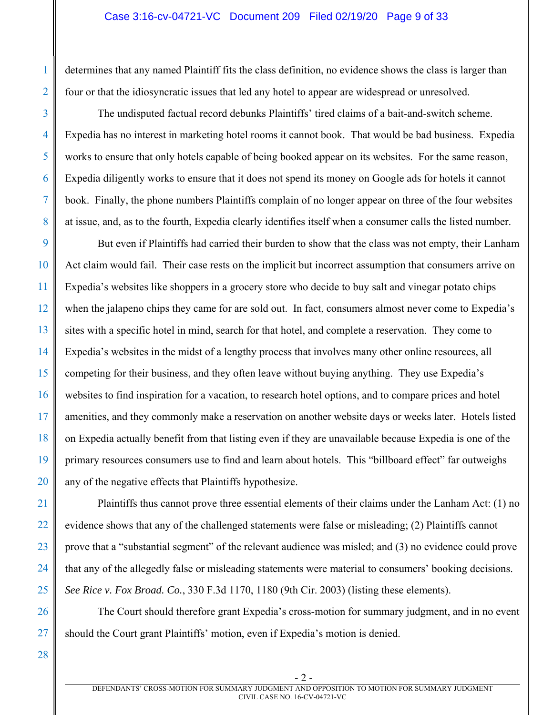### Case 3:16-cv-04721-VC Document 209 Filed 02/19/20 Page 9 of 33

determines that any named Plaintiff fits the class definition, no evidence shows the class is larger than four or that the idiosyncratic issues that led any hotel to appear are widespread or unresolved.

The undisputed factual record debunks Plaintiffs' tired claims of a bait-and-switch scheme. Expedia has no interest in marketing hotel rooms it cannot book. That would be bad business. Expedia works to ensure that only hotels capable of being booked appear on its websites. For the same reason, Expedia diligently works to ensure that it does not spend its money on Google ads for hotels it cannot book. Finally, the phone numbers Plaintiffs complain of no longer appear on three of the four websites at issue, and, as to the fourth, Expedia clearly identifies itself when a consumer calls the listed number.

9 10 11 12 13 14 15 16 17 18 19 20 But even if Plaintiffs had carried their burden to show that the class was not empty, their Lanham Act claim would fail. Their case rests on the implicit but incorrect assumption that consumers arrive on Expedia's websites like shoppers in a grocery store who decide to buy salt and vinegar potato chips when the jalapeno chips they came for are sold out. In fact, consumers almost never come to Expedia's sites with a specific hotel in mind, search for that hotel, and complete a reservation. They come to Expedia's websites in the midst of a lengthy process that involves many other online resources, all competing for their business, and they often leave without buying anything. They use Expedia's websites to find inspiration for a vacation, to research hotel options, and to compare prices and hotel amenities, and they commonly make a reservation on another website days or weeks later. Hotels listed on Expedia actually benefit from that listing even if they are unavailable because Expedia is one of the primary resources consumers use to find and learn about hotels. This "billboard effect" far outweighs any of the negative effects that Plaintiffs hypothesize.

Plaintiffs thus cannot prove three essential elements of their claims under the Lanham Act: (1) no evidence shows that any of the challenged statements were false or misleading; (2) Plaintiffs cannot prove that a "substantial segment" of the relevant audience was misled; and (3) no evidence could prove that any of the allegedly false or misleading statements were material to consumers' booking decisions. *See Rice v. Fox Broad. Co.*, 330 F.3d 1170, 1180 (9th Cir. 2003) (listing these elements).

The Court should therefore grant Expedia's cross-motion for summary judgment, and in no event should the Court grant Plaintiffs' motion, even if Expedia's motion is denied.

28

21

22

23

24

25

26

27

1

2

3

4

5

6

7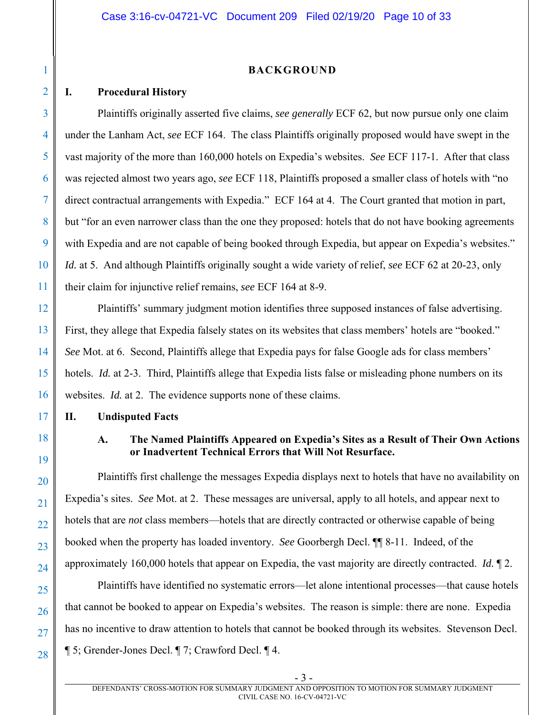#### **BACKGROUND**

### **I. Procedural History**

1

2

3

4

5

6

7

8

9

10

11

12

13

14

15

16

17

18

19

20

21

22

23

24

25

26

27

28

Plaintiffs originally asserted five claims, *see generally* ECF 62, but now pursue only one claim under the Lanham Act, *see* ECF 164. The class Plaintiffs originally proposed would have swept in the vast majority of the more than 160,000 hotels on Expedia's websites. *See* ECF 117-1. After that class was rejected almost two years ago, *see* ECF 118, Plaintiffs proposed a smaller class of hotels with "no direct contractual arrangements with Expedia." ECF 164 at 4. The Court granted that motion in part, but "for an even narrower class than the one they proposed: hotels that do not have booking agreements with Expedia and are not capable of being booked through Expedia, but appear on Expedia's websites." *Id.* at 5. And although Plaintiffs originally sought a wide variety of relief, *see* ECF 62 at 20-23, only their claim for injunctive relief remains, *see* ECF 164 at 8-9.

Plaintiffs' summary judgment motion identifies three supposed instances of false advertising. First, they allege that Expedia falsely states on its websites that class members' hotels are "booked." *See* Mot. at 6. Second, Plaintiffs allege that Expedia pays for false Google ads for class members' hotels. *Id.* at 2-3. Third, Plaintiffs allege that Expedia lists false or misleading phone numbers on its websites. *Id.* at 2. The evidence supports none of these claims.

**II. Undisputed Facts** 

# **A. The Named Plaintiffs Appeared on Expedia's Sites as a Result of Their Own Actions or Inadvertent Technical Errors that Will Not Resurface.**

Plaintiffs first challenge the messages Expedia displays next to hotels that have no availability on Expedia's sites. *See* Mot. at 2. These messages are universal, apply to all hotels, and appear next to hotels that are *not* class members—hotels that are directly contracted or otherwise capable of being booked when the property has loaded inventory. *See* Goorbergh Decl. ¶¶ 8-11. Indeed, of the approximately 160,000 hotels that appear on Expedia, the vast majority are directly contracted. *Id.* ¶ 2.

Plaintiffs have identified no systematic errors—let alone intentional processes—that cause hotels that cannot be booked to appear on Expedia's websites. The reason is simple: there are none. Expedia has no incentive to draw attention to hotels that cannot be booked through its websites. Stevenson Decl. ¶ 5; Grender-Jones Decl. ¶ 7; Crawford Decl. ¶ 4.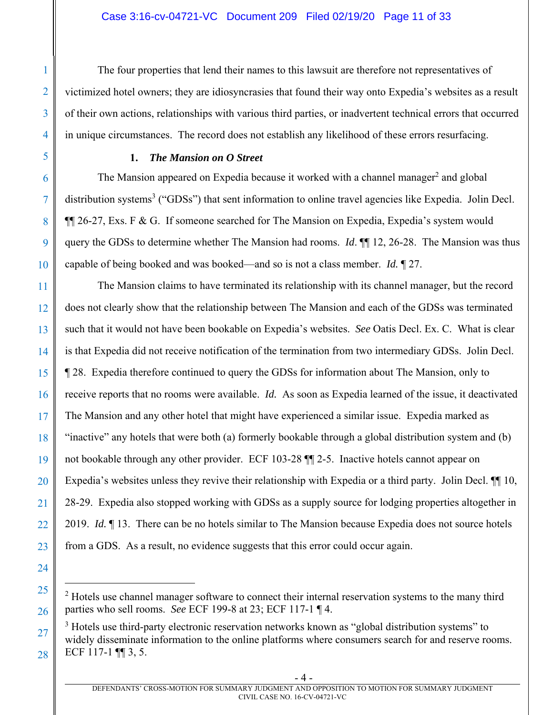The four properties that lend their names to this lawsuit are therefore not representatives of victimized hotel owners; they are idiosyncrasies that found their way onto Expedia's websites as a result of their own actions, relationships with various third parties, or inadvertent technical errors that occurred in unique circumstances. The record does not establish any likelihood of these errors resurfacing.

## **1.** *The Mansion on O Street*

The Mansion appeared on Expedia because it worked with a channel manager<sup>2</sup> and global distribution systems<sup>3</sup> ("GDSs") that sent information to online travel agencies like Expedia. Jolin Decl. ¶¶ 26-27, Exs. F & G. If someone searched for The Mansion on Expedia, Expedia's system would query the GDSs to determine whether The Mansion had rooms. *Id*. ¶¶ 12, 26-28. The Mansion was thus capable of being booked and was booked—and so is not a class member. *Id.* ¶ 27.

The Mansion claims to have terminated its relationship with its channel manager, but the record does not clearly show that the relationship between The Mansion and each of the GDSs was terminated such that it would not have been bookable on Expedia's websites. *See* Oatis Decl. Ex. C. What is clear is that Expedia did not receive notification of the termination from two intermediary GDSs. Jolin Decl. ¶ 28. Expedia therefore continued to query the GDSs for information about The Mansion, only to receive reports that no rooms were available. *Id.* As soon as Expedia learned of the issue, it deactivated The Mansion and any other hotel that might have experienced a similar issue. Expedia marked as "inactive" any hotels that were both (a) formerly bookable through a global distribution system and (b) not bookable through any other provider. ECF 103-28 ¶¶ 2-5. Inactive hotels cannot appear on Expedia's websites unless they revive their relationship with Expedia or a third party. Jolin Decl. ¶¶ 10, 28-29. Expedia also stopped working with GDSs as a supply source for lodging properties altogether in 2019. *Id.* ¶ 13. There can be no hotels similar to The Mansion because Expedia does not source hotels from a GDS. As a result, no evidence suggests that this error could occur again.

 $\overline{a}$ 

 $2$  Hotels use channel manager software to connect their internal reservation systems to the many third parties who sell rooms. *See* ECF 199-8 at 23; ECF 117-1 ¶ 4.

 $3$  Hotels use third-party electronic reservation networks known as "global distribution systems" to widely disseminate information to the online platforms where consumers search for and reserve rooms. ECF 117-1 ¶¶ 3, 5.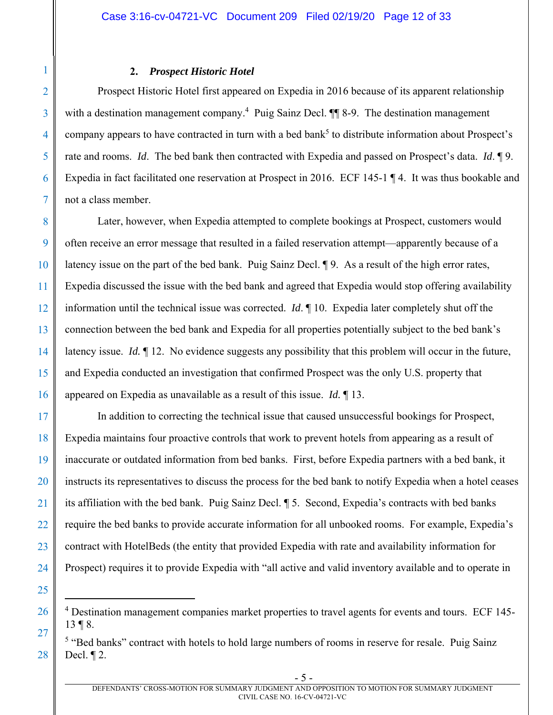#### **2.** *Prospect Historic Hotel*

Prospect Historic Hotel first appeared on Expedia in 2016 because of its apparent relationship with a destination management company.<sup>4</sup> Puig Sainz Decl. ¶ 8-9. The destination management company appears to have contracted in turn with a bed bank<sup>5</sup> to distribute information about Prospect's rate and rooms. *Id*. The bed bank then contracted with Expedia and passed on Prospect's data. *Id*. ¶ 9. Expedia in fact facilitated one reservation at Prospect in 2016. ECF 145-1 ¶ 4. It was thus bookable and not a class member.

8 9 10 11 12 13 14 15 16 Later, however, when Expedia attempted to complete bookings at Prospect, customers would often receive an error message that resulted in a failed reservation attempt—apparently because of a latency issue on the part of the bed bank. Puig Sainz Decl. ¶ 9. As a result of the high error rates, Expedia discussed the issue with the bed bank and agreed that Expedia would stop offering availability information until the technical issue was corrected. *Id*. ¶ 10. Expedia later completely shut off the connection between the bed bank and Expedia for all properties potentially subject to the bed bank's latency issue. *Id.* 12. No evidence suggests any possibility that this problem will occur in the future, and Expedia conducted an investigation that confirmed Prospect was the only U.S. property that appeared on Expedia as unavailable as a result of this issue. *Id.* ¶ 13.

17 18 19 20 21 22 23 24 In addition to correcting the technical issue that caused unsuccessful bookings for Prospect, Expedia maintains four proactive controls that work to prevent hotels from appearing as a result of inaccurate or outdated information from bed banks. First, before Expedia partners with a bed bank, it instructs its representatives to discuss the process for the bed bank to notify Expedia when a hotel ceases its affiliation with the bed bank. Puig Sainz Decl. ¶ 5. Second, Expedia's contracts with bed banks require the bed banks to provide accurate information for all unbooked rooms. For example, Expedia's contract with HotelBeds (the entity that provided Expedia with rate and availability information for Prospect) requires it to provide Expedia with "all active and valid inventory available and to operate in

25

<u>.</u>

26

27

28

1

2

3

4

5

6

<sup>&</sup>lt;sup>4</sup> Destination management companies market properties to travel agents for events and tours. ECF 145-13 ¶ 8.

<sup>&</sup>lt;sup>5</sup> "Bed banks" contract with hotels to hold large numbers of rooms in reserve for resale. Puig Sainz Decl. ¶ 2.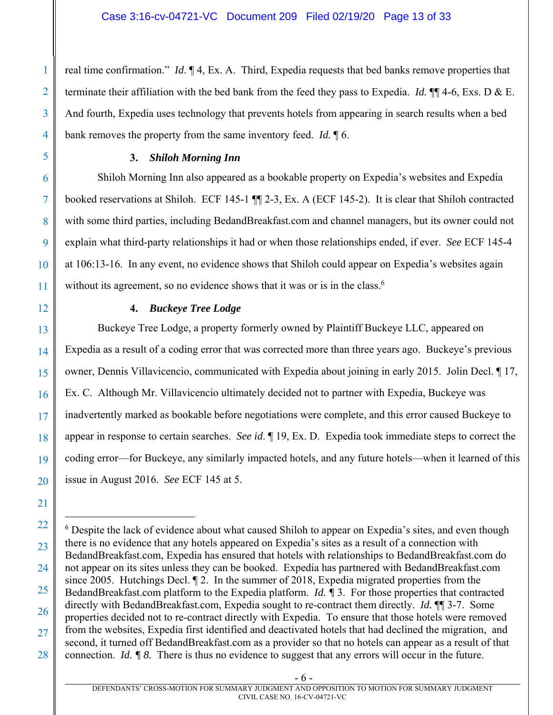real time confirmation." *Id*. ¶ 4, Ex. A. Third, Expedia requests that bed banks remove properties that terminate their affiliation with the bed bank from the feed they pass to Expedia. *Id.* ¶¶ 4-6, Exs. D & E. And fourth, Expedia uses technology that prevents hotels from appearing in search results when a bed bank removes the property from the same inventory feed. *Id.* ¶ 6.

## **3.** *Shiloh Morning Inn*

Shiloh Morning Inn also appeared as a bookable property on Expedia's websites and Expedia booked reservations at Shiloh. ECF 145-1 ¶¶ 2-3, Ex. A (ECF 145-2). It is clear that Shiloh contracted with some third parties, including BedandBreakfast.com and channel managers, but its owner could not explain what third-party relationships it had or when those relationships ended, if ever. *See* ECF 145-4 at 106:13-16. In any event, no evidence shows that Shiloh could appear on Expedia's websites again without its agreement, so no evidence shows that it was or is in the class.<sup>6</sup>

## **4.** *Buckeye Tree Lodge*

Buckeye Tree Lodge, a property formerly owned by Plaintiff Buckeye LLC, appeared on Expedia as a result of a coding error that was corrected more than three years ago. Buckeye's previous owner, Dennis Villavicencio, communicated with Expedia about joining in early 2015. Jolin Decl. ¶ 17, Ex. C. Although Mr. Villavicencio ultimately decided not to partner with Expedia, Buckeye was inadvertently marked as bookable before negotiations were complete, and this error caused Buckeye to appear in response to certain searches. *See id*. ¶ 19, Ex. D. Expedia took immediate steps to correct the coding error—for Buckeye, any similarly impacted hotels, and any future hotels—when it learned of this issue in August 2016. *See* ECF 145 at 5.

1

1

2

3

4

5

6

7

8

9

10

11

12

13

14

15

16

17

18

19

20

21

- 6 -

<sup>22</sup>  23 24 25 26 27 28 <sup>6</sup> Despite the lack of evidence about what caused Shiloh to appear on Expedia's sites, and even though there is no evidence that any hotels appeared on Expedia's sites as a result of a connection with BedandBreakfast.com, Expedia has ensured that hotels with relationships to BedandBreakfast.com do not appear on its sites unless they can be booked. Expedia has partnered with BedandBreakfast.com since 2005. Hutchings Decl. ¶ 2. In the summer of 2018, Expedia migrated properties from the BedandBreakfast.com platform to the Expedia platform. *Id. ¶* 3. For those properties that contracted directly with BedandBreakfast.com, Expedia sought to re-contract them directly. *Id.* ¶¶ 3-7. Some properties decided not to re-contract directly with Expedia. To ensure that those hotels were removed from the websites, Expedia first identified and deactivated hotels that had declined the migration, and second, it turned off BedandBreakfast.com as a provider so that no hotels can appear as a result of that connection. *Id. ¶ 8.* There is thus no evidence to suggest that any errors will occur in the future.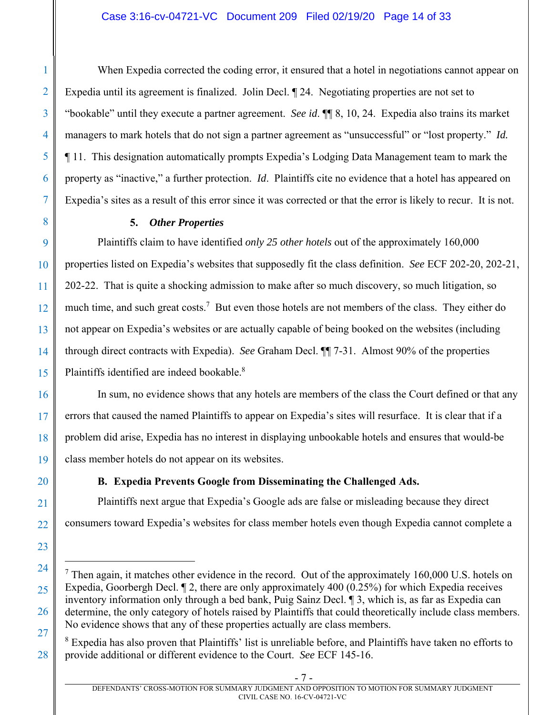## Case 3:16-cv-04721-VC Document 209 Filed 02/19/20 Page 14 of 33

When Expedia corrected the coding error, it ensured that a hotel in negotiations cannot appear on Expedia until its agreement is finalized. Jolin Decl. ¶ 24. Negotiating properties are not set to "bookable" until they execute a partner agreement. *See id*. ¶¶ 8, 10, 24. Expedia also trains its market managers to mark hotels that do not sign a partner agreement as "unsuccessful" or "lost property." *Id.* ¶ 11. This designation automatically prompts Expedia's Lodging Data Management team to mark the property as "inactive," a further protection. *Id*. Plaintiffs cite no evidence that a hotel has appeared on Expedia's sites as a result of this error since it was corrected or that the error is likely to recur. It is not.

## **5.** *Other Properties*

Plaintiffs claim to have identified *only 25 other hotels* out of the approximately 160,000 properties listed on Expedia's websites that supposedly fit the class definition. *See* ECF 202-20, 202-21, 202-22. That is quite a shocking admission to make after so much discovery, so much litigation, so much time, and such great costs.<sup>7</sup> But even those hotels are not members of the class. They either do not appear on Expedia's websites or are actually capable of being booked on the websites (including through direct contracts with Expedia). *See* Graham Decl. ¶¶ 7-31. Almost 90% of the properties Plaintiffs identified are indeed bookable.<sup>8</sup>

In sum, no evidence shows that any hotels are members of the class the Court defined or that any errors that caused the named Plaintiffs to appear on Expedia's sites will resurface. It is clear that if a problem did arise, Expedia has no interest in displaying unbookable hotels and ensures that would-be class member hotels do not appear on its websites.

# **B. Expedia Prevents Google from Disseminating the Challenged Ads.**

Plaintiffs next argue that Expedia's Google ads are false or misleading because they direct consumers toward Expedia's websites for class member hotels even though Expedia cannot complete a

<sup>8</sup> Expedia has also proven that Plaintiffs' list is unreliable before, and Plaintiffs have taken no efforts to provide additional or different evidence to the Court. *See* ECF 145-16.

1

 $7$  Then again, it matches other evidence in the record. Out of the approximately 160,000 U.S. hotels on Expedia, Goorbergh Decl. ¶ 2, there are only approximately 400 (0.25%) for which Expedia receives inventory information only through a bed bank, Puig Sainz Decl. ¶ 3, which is, as far as Expedia can determine, the only category of hotels raised by Plaintiffs that could theoretically include class members. No evidence shows that any of these properties actually are class members.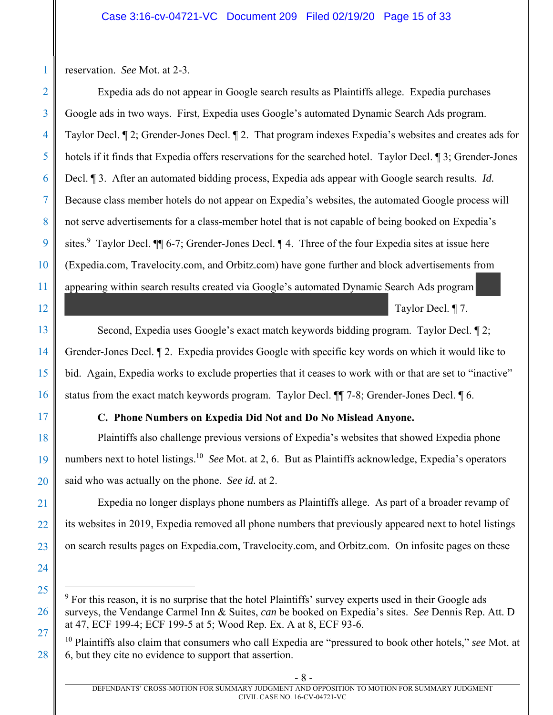reservation. *See* Mot. at 2-3.

1

2

3

4

5

6

7

8

9

10

11

12

13

14

15

16

17

18

19

20

21

22

23

24

25

1

26

27

28

Expedia ads do not appear in Google search results as Plaintiffs allege. Expedia purchases Google ads in two ways. First, Expedia uses Google's automated Dynamic Search Ads program. Taylor Decl. ¶ 2; Grender-Jones Decl. ¶ 2. That program indexes Expedia's websites and creates ads for hotels if it finds that Expedia offers reservations for the searched hotel. Taylor Decl.  $\sqrt{3}$ ; Grender-Jones Decl. ¶ 3. After an automated bidding process, Expedia ads appear with Google search results. *Id.* Because class member hotels do not appear on Expedia's websites, the automated Google process will not serve advertisements for a class-member hotel that is not capable of being booked on Expedia's sites.<sup>9</sup> Taylor Decl.  $\P$  6-7; Grender-Jones Decl.  $\P$  4. Three of the four Expedia sites at issue here (Expedia.com, Travelocity.com, and Orbitz.com) have gone further and block advertisements from appearing within search results created via Google's automated Dynamic Search Ads program

Taylor Decl. ¶ 7.

Second, Expedia uses Google's exact match keywords bidding program. Taylor Decl. ¶ 2; Grender-Jones Decl. ¶ 2. Expedia provides Google with specific key words on which it would like to bid. Again, Expedia works to exclude properties that it ceases to work with or that are set to "inactive" status from the exact match keywords program. Taylor Decl. ¶¶ 7-8; Grender-Jones Decl. ¶ 6.

# **C. Phone Numbers on Expedia Did Not and Do No Mislead Anyone.**

Plaintiffs also challenge previous versions of Expedia's websites that showed Expedia phone numbers next to hotel listings.10 *See* Mot. at 2, 6. But as Plaintiffs acknowledge, Expedia's operators said who was actually on the phone. *See id.* at 2.

Expedia no longer displays phone numbers as Plaintiffs allege. As part of a broader revamp of its websites in 2019, Expedia removed all phone numbers that previously appeared next to hotel listings on search results pages on Expedia.com, Travelocity.com, and Orbitz.com. On infosite pages on these

 $9$  For this reason, it is no surprise that the hotel Plaintiffs' survey experts used in their Google ads surveys, the Vendange Carmel Inn & Suites, *can* be booked on Expedia's sites. *See* Dennis Rep. Att. D at 47, ECF 199-4; ECF 199-5 at 5; Wood Rep. Ex. A at 8, ECF 93-6.

<sup>10</sup> Plaintiffs also claim that consumers who call Expedia are "pressured to book other hotels," *see* Mot. at 6, but they cite no evidence to support that assertion.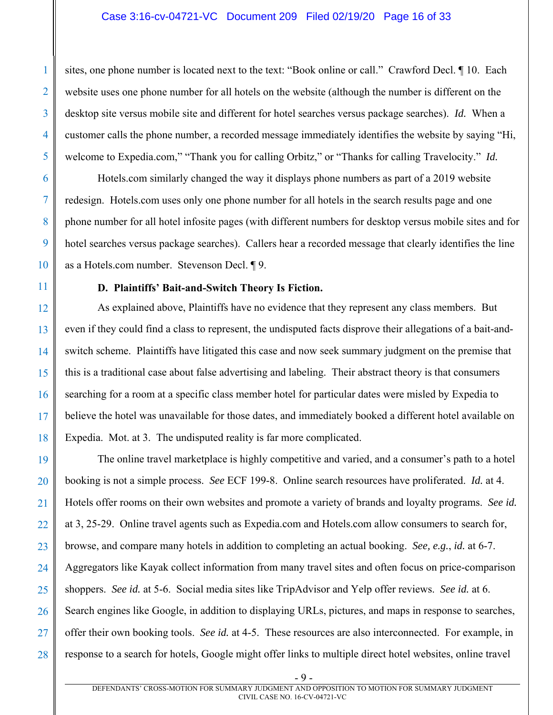### Case 3:16-cv-04721-VC Document 209 Filed 02/19/20 Page 16 of 33

sites, one phone number is located next to the text: "Book online or call." Crawford Decl. ¶ 10. Each website uses one phone number for all hotels on the website (although the number is different on the desktop site versus mobile site and different for hotel searches versus package searches). *Id.* When a customer calls the phone number, a recorded message immediately identifies the website by saying "Hi, welcome to Expedia.com," "Thank you for calling Orbitz," or "Thanks for calling Travelocity." *Id.* 

Hotels.com similarly changed the way it displays phone numbers as part of a 2019 website redesign. Hotels.com uses only one phone number for all hotels in the search results page and one phone number for all hotel infosite pages (with different numbers for desktop versus mobile sites and for hotel searches versus package searches). Callers hear a recorded message that clearly identifies the line as a Hotels.com number. Stevenson Decl. ¶ 9.

## **D. Plaintiffs' Bait-and-Switch Theory Is Fiction.**

As explained above, Plaintiffs have no evidence that they represent any class members. But even if they could find a class to represent, the undisputed facts disprove their allegations of a bait-andswitch scheme. Plaintiffs have litigated this case and now seek summary judgment on the premise that this is a traditional case about false advertising and labeling. Their abstract theory is that consumers searching for a room at a specific class member hotel for particular dates were misled by Expedia to believe the hotel was unavailable for those dates, and immediately booked a different hotel available on Expedia. Mot. at 3. The undisputed reality is far more complicated.

19 20 21 22 23 24 25 26 27 28 The online travel marketplace is highly competitive and varied, and a consumer's path to a hotel booking is not a simple process. *See* ECF 199-8. Online search resources have proliferated. *Id.* at 4. Hotels offer rooms on their own websites and promote a variety of brands and loyalty programs. *See id.*  at 3, 25-29. Online travel agents such as Expedia.com and Hotels.com allow consumers to search for, browse, and compare many hotels in addition to completing an actual booking. *See, e.g.*, *id.* at 6-7. Aggregators like Kayak collect information from many travel sites and often focus on price-comparison shoppers. *See id.* at 5-6. Social media sites like TripAdvisor and Yelp offer reviews. *See id.* at 6. Search engines like Google, in addition to displaying URLs, pictures, and maps in response to searches, offer their own booking tools. *See id.* at 4-5. These resources are also interconnected. For example, in response to a search for hotels, Google might offer links to multiple direct hotel websites, online travel

1

- 9 -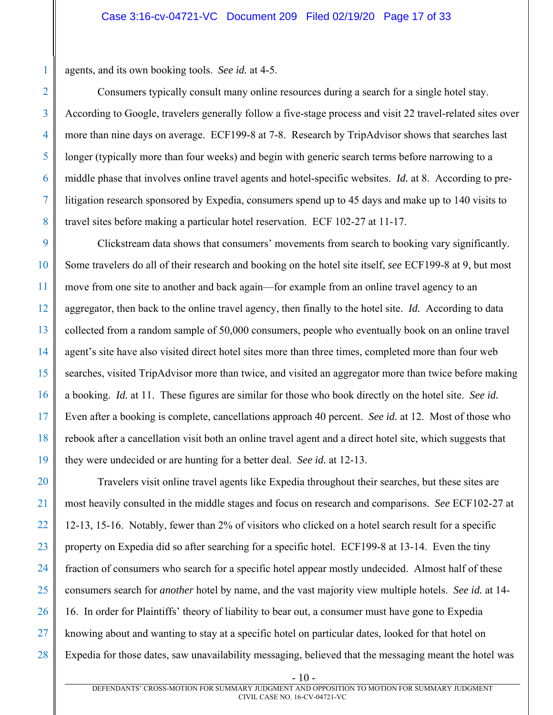agents, and its own booking tools. *See id.* at 4-5.

Consumers typically consult many online resources during a search for a single hotel stay. According to Google, travelers generally follow a five-stage process and visit 22 travel-related sites over more than nine days on average. ECF199-8 at 7-8. Research by TripAdvisor shows that searches last longer (typically more than four weeks) and begin with generic search terms before narrowing to a middle phase that involves online travel agents and hotel-specific websites. *Id.* at 8. According to prelitigation research sponsored by Expedia, consumers spend up to 45 days and make up to 140 visits to travel sites before making a particular hotel reservation. ECF 102-27 at 11-17.

Clickstream data shows that consumers' movements from search to booking vary significantly. Some travelers do all of their research and booking on the hotel site itself, *see* ECF199-8 at 9, but most move from one site to another and back again—for example from an online travel agency to an aggregator, then back to the online travel agency, then finally to the hotel site. *Id.* According to data collected from a random sample of 50,000 consumers, people who eventually book on an online travel agent's site have also visited direct hotel sites more than three times, completed more than four web searches, visited TripAdvisor more than twice, and visited an aggregator more than twice before making a booking. *Id.* at 11. These figures are similar for those who book directly on the hotel site. *See id.* Even after a booking is complete, cancellations approach 40 percent. *See id.* at 12. Most of those who rebook after a cancellation visit both an online travel agent and a direct hotel site, which suggests that they were undecided or are hunting for a better deal. *See id.* at 12-13.

27 28 Travelers visit online travel agents like Expedia throughout their searches, but these sites are most heavily consulted in the middle stages and focus on research and comparisons. *See* ECF102-27 at 12-13, 15-16. Notably, fewer than 2% of visitors who clicked on a hotel search result for a specific property on Expedia did so after searching for a specific hotel. ECF199-8 at 13-14. Even the tiny fraction of consumers who search for a specific hotel appear mostly undecided. Almost half of these consumers search for *another* hotel by name, and the vast majority view multiple hotels. *See id.* at 14- 16. In order for Plaintiffs' theory of liability to bear out, a consumer must have gone to Expedia knowing about and wanting to stay at a specific hotel on particular dates, looked for that hotel on Expedia for those dates, saw unavailability messaging, believed that the messaging meant the hotel was

1

2

3

4

5

6

7

- 10 -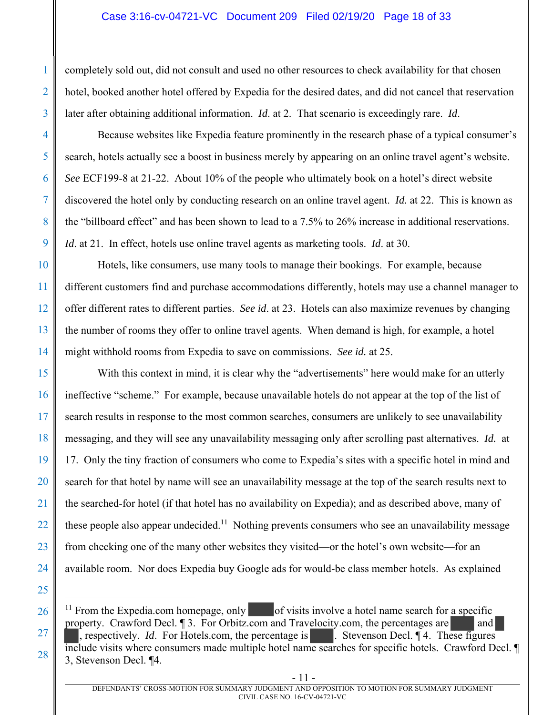## Case 3:16-cv-04721-VC Document 209 Filed 02/19/20 Page 18 of 33

1

2

3

4

5

6

7

8

9

10

11

12

13

14

15

16

17

18

19

20

21

22

23

24

25

1

26

27

28

completely sold out, did not consult and used no other resources to check availability for that chosen hotel, booked another hotel offered by Expedia for the desired dates, and did not cancel that reservation later after obtaining additional information. *Id*. at 2. That scenario is exceedingly rare. *Id*.

Because websites like Expedia feature prominently in the research phase of a typical consumer's search, hotels actually see a boost in business merely by appearing on an online travel agent's website. *See* ECF199-8 at 21-22. About 10% of the people who ultimately book on a hotel's direct website discovered the hotel only by conducting research on an online travel agent. *Id.* at 22. This is known as the "billboard effect" and has been shown to lead to a 7.5% to 26% increase in additional reservations. *Id*. at 21. In effect, hotels use online travel agents as marketing tools. *Id*. at 30.

Hotels, like consumers, use many tools to manage their bookings. For example, because different customers find and purchase accommodations differently, hotels may use a channel manager to offer different rates to different parties. *See id*. at 23. Hotels can also maximize revenues by changing the number of rooms they offer to online travel agents. When demand is high, for example, a hotel might withhold rooms from Expedia to save on commissions. *See id.* at 25.

With this context in mind, it is clear why the "advertisements" here would make for an utterly ineffective "scheme." For example, because unavailable hotels do not appear at the top of the list of search results in response to the most common searches, consumers are unlikely to see unavailability messaging, and they will see any unavailability messaging only after scrolling past alternatives. *Id.* at 17. Only the tiny fraction of consumers who come to Expedia's sites with a specific hotel in mind and search for that hotel by name will see an unavailability message at the top of the search results next to the searched-for hotel (if that hotel has no availability on Expedia); and as described above, many of these people also appear undecided.<sup>11</sup> Nothing prevents consumers who see an unavailability message from checking one of the many other websites they visited—or the hotel's own website—for an available room. Nor does Expedia buy Google ads for would-be class member hotels. As explained

<sup>&</sup>lt;sup>11</sup> From the Expedia.com homepage, only of visits involve a hotel name search for a specific property. Crawford Decl. 13. For Orbitz.com and Travelocity.com, the percentages are and , respectively. *Id.* For Hotels.com, the percentage is . Stevenson Decl. 14. These figures include visits where consumers made multiple hotel name searches for specific hotels. Crawford Decl. ¶ 3, Stevenson Decl. ¶4.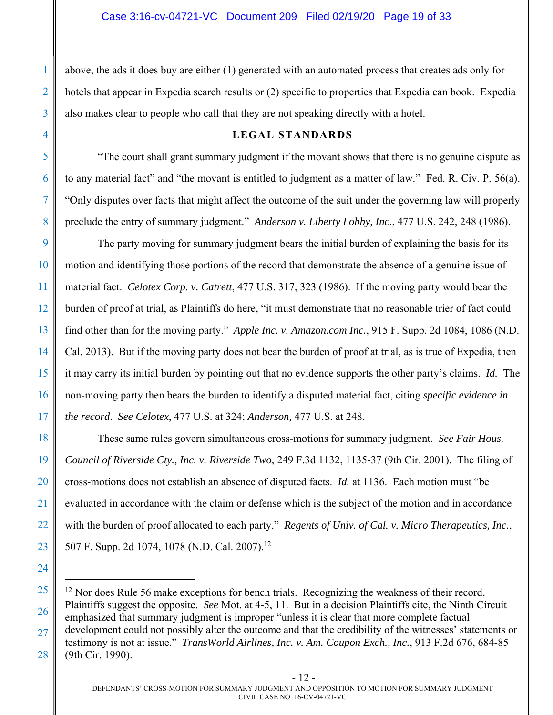1

2

3

4

5

6

7

8

11

18

19

20

21

22

23

24

1

above, the ads it does buy are either (1) generated with an automated process that creates ads only for hotels that appear in Expedia search results or (2) specific to properties that Expedia can book. Expedia also makes clear to people who call that they are not speaking directly with a hotel.

## **LEGAL STANDARDS**

"The court shall grant summary judgment if the movant shows that there is no genuine dispute as to any material fact" and "the movant is entitled to judgment as a matter of law." Fed. R. Civ. P. 56(a). "Only disputes over facts that might affect the outcome of the suit under the governing law will properly preclude the entry of summary judgment." *Anderson v. Liberty Lobby, Inc*., 477 U.S. 242, 248 (1986).

9 10 12 13 14 15 16 17 The party moving for summary judgment bears the initial burden of explaining the basis for its motion and identifying those portions of the record that demonstrate the absence of a genuine issue of material fact. *Celotex Corp. v. Catrett*, 477 U.S. 317, 323 (1986). If the moving party would bear the burden of proof at trial, as Plaintiffs do here, "it must demonstrate that no reasonable trier of fact could find other than for the moving party." *Apple Inc. v. Amazon.com Inc.*, 915 F. Supp. 2d 1084, 1086 (N.D. Cal. 2013). But if the moving party does not bear the burden of proof at trial, as is true of Expedia, then it may carry its initial burden by pointing out that no evidence supports the other party's claims. *Id.* The non-moving party then bears the burden to identify a disputed material fact, citing *specific evidence in the record*. *See Celotex*, 477 U.S. at 324; *Anderson,* 477 U.S. at 248.

These same rules govern simultaneous cross-motions for summary judgment. *See Fair Hous. Council of Riverside Cty., Inc. v. Riverside Two*, 249 F.3d 1132, 1135-37 (9th Cir. 2001). The filing of cross-motions does not establish an absence of disputed facts. *Id.* at 1136. Each motion must "be evaluated in accordance with the claim or defense which is the subject of the motion and in accordance with the burden of proof allocated to each party." *Regents of Univ. of Cal. v. Micro Therapeutics, Inc.*, 507 F. Supp. 2d 1074, 1078 (N.D. Cal. 2007).<sup>12</sup>

<sup>25</sup>  26 27 28  $12$  Nor does Rule 56 make exceptions for bench trials. Recognizing the weakness of their record, Plaintiffs suggest the opposite. *See* Mot. at 4-5, 11. But in a decision Plaintiffs cite, the Ninth Circuit emphasized that summary judgment is improper "unless it is clear that more complete factual development could not possibly alter the outcome and that the credibility of the witnesses' statements or testimony is not at issue." *TransWorld Airlines, Inc. v. Am. Coupon Exch., Inc.*, 913 F.2d 676, 684-85 (9th Cir. 1990).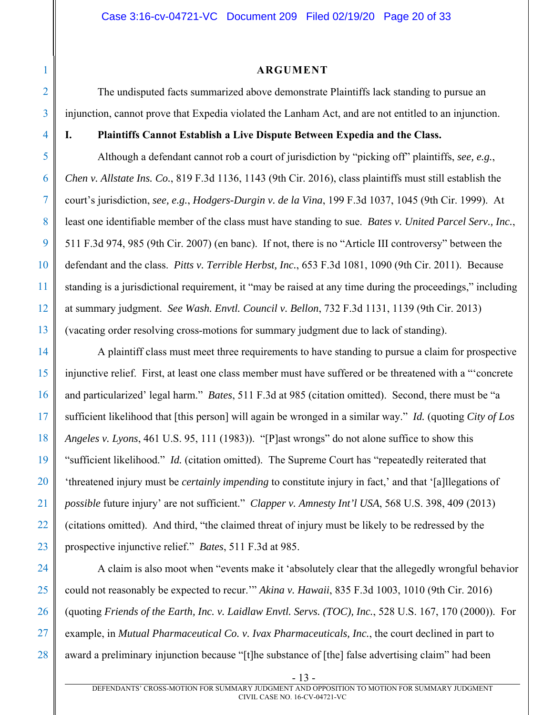#### **ARGUMENT**

The undisputed facts summarized above demonstrate Plaintiffs lack standing to pursue an injunction, cannot prove that Expedia violated the Lanham Act, and are not entitled to an injunction.

## **I. Plaintiffs Cannot Establish a Live Dispute Between Expedia and the Class.**

Although a defendant cannot rob a court of jurisdiction by "picking off" plaintiffs, *see, e.g.*, *Chen v. Allstate Ins. Co.*, 819 F.3d 1136, 1143 (9th Cir. 2016), class plaintiffs must still establish the court's jurisdiction, *see, e.g.*, *Hodgers-Durgin v. de la Vina*, 199 F.3d 1037, 1045 (9th Cir. 1999). At least one identifiable member of the class must have standing to sue. *Bates v. United Parcel Serv., Inc.*, 511 F.3d 974, 985 (9th Cir. 2007) (en banc). If not, there is no "Article III controversy" between the defendant and the class. *Pitts v. Terrible Herbst, Inc.*, 653 F.3d 1081, 1090 (9th Cir. 2011). Because standing is a jurisdictional requirement, it "may be raised at any time during the proceedings," including at summary judgment. *See Wash. Envtl. Council v. Bellon*, 732 F.3d 1131, 1139 (9th Cir. 2013) (vacating order resolving cross-motions for summary judgment due to lack of standing).

20 21 22 23 A plaintiff class must meet three requirements to have standing to pursue a claim for prospective injunctive relief. First, at least one class member must have suffered or be threatened with a "'concrete and particularized' legal harm." *Bates*, 511 F.3d at 985 (citation omitted). Second, there must be "a sufficient likelihood that [this person] will again be wronged in a similar way." *Id.* (quoting *City of Los Angeles v. Lyons*, 461 U.S. 95, 111 (1983)). "[P]ast wrongs" do not alone suffice to show this "sufficient likelihood." *Id.* (citation omitted). The Supreme Court has "repeatedly reiterated that 'threatened injury must be *certainly impending* to constitute injury in fact,' and that '[a]llegations of *possible* future injury' are not sufficient." *Clapper v. Amnesty Int'l USA*, 568 U.S. 398, 409 (2013) (citations omitted). And third, "the claimed threat of injury must be likely to be redressed by the prospective injunctive relief." *Bates*, 511 F.3d at 985.

24 25 26 27 28 A claim is also moot when "events make it 'absolutely clear that the allegedly wrongful behavior could not reasonably be expected to recur.'" *Akina v. Hawaii*, 835 F.3d 1003, 1010 (9th Cir. 2016) (quoting *Friends of the Earth, Inc. v. Laidlaw Envtl. Servs. (TOC), Inc.*, 528 U.S. 167, 170 (2000)). For example, in *Mutual Pharmaceutical Co. v. Ivax Pharmaceuticals, Inc.*, the court declined in part to award a preliminary injunction because "[t]he substance of [the] false advertising claim" had been

1

<sup>- 13 -</sup>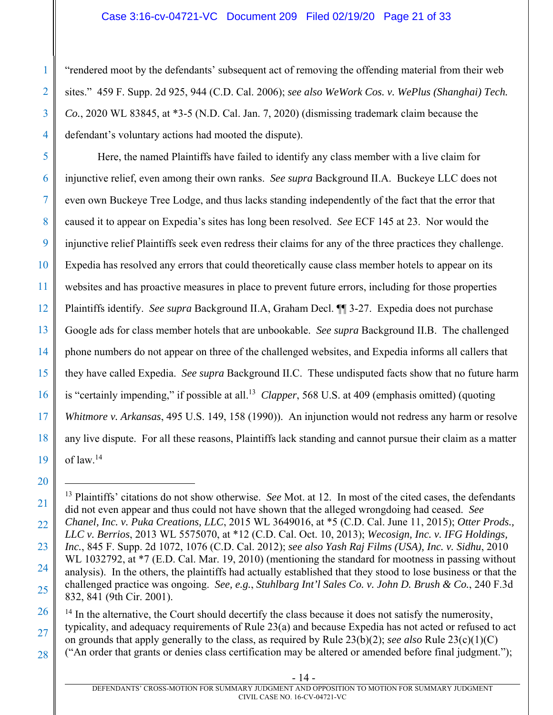"rendered moot by the defendants' subsequent act of removing the offending material from their web sites." 459 F. Supp. 2d 925, 944 (C.D. Cal. 2006); *see also WeWork Cos. v. WePlus (Shanghai) Tech. Co.*, 2020 WL 83845, at \*3-5 (N.D. Cal. Jan. 7, 2020) (dismissing trademark claim because the defendant's voluntary actions had mooted the dispute).

Here, the named Plaintiffs have failed to identify any class member with a live claim for injunctive relief, even among their own ranks. *See supra* Background II.A. Buckeye LLC does not even own Buckeye Tree Lodge, and thus lacks standing independently of the fact that the error that caused it to appear on Expedia's sites has long been resolved. *See* ECF 145 at 23. Nor would the injunctive relief Plaintiffs seek even redress their claims for any of the three practices they challenge. Expedia has resolved any errors that could theoretically cause class member hotels to appear on its websites and has proactive measures in place to prevent future errors, including for those properties Plaintiffs identify. *See supra* Background II.A, Graham Decl. ¶¶ 3-27. Expedia does not purchase Google ads for class member hotels that are unbookable. *See supra* Background II.B. The challenged phone numbers do not appear on three of the challenged websites, and Expedia informs all callers that they have called Expedia. *See supra* Background II.C. These undisputed facts show that no future harm is "certainly impending," if possible at all.<sup>13</sup> *Clapper*, 568 U.S. at 409 (emphasis omitted) (quoting *Whitmore v. Arkansas*, 495 U.S. 149, 158 (1990)). An injunction would not redress any harm or resolve any live dispute. For all these reasons, Plaintiffs lack standing and cannot pursue their claim as a matter of law.14

 $\overline{a}$ 13 Plaintiffs' citations do not show otherwise. *See* Mot. at 12. In most of the cited cases, the defendants did not even appear and thus could not have shown that the alleged wrongdoing had ceased. *See Chanel, Inc. v. Puka Creations, LLC*, 2015 WL 3649016, at \*5 (C.D. Cal. June 11, 2015); *Otter Prods.,* 

<sup>25</sup>  *LLC v. Berrios*, 2013 WL 5575070, at \*12 (C.D. Cal. Oct. 10, 2013); *Wecosign, Inc. v. IFG Holdings, Inc.*, 845 F. Supp. 2d 1072, 1076 (C.D. Cal. 2012); *see also Yash Raj Films (USA), Inc. v. Sidhu*, 2010 WL 1032792, at  $*7$  (E.D. Cal. Mar. 19, 2010) (mentioning the standard for mootness in passing without analysis). In the others, the plaintiffs had actually established that they stood to lose business or that the challenged practice was ongoing. *See, e.g.*, *Stuhlbarg Int'l Sales Co. v. John D. Brush & Co.*, 240 F.3d 832, 841 (9th Cir. 2001).

<sup>26</sup>  27 28 <sup>14</sup> In the alternative, the Court should decertify the class because it does not satisfy the numerosity, typicality, and adequacy requirements of Rule 23(a) and because Expedia has not acted or refused to act on grounds that apply generally to the class, as required by Rule 23(b)(2); *see also* Rule 23(c)(1)(C) ("An order that grants or denies class certification may be altered or amended before final judgment.");

DEFENDANTS' CROSS-MOTION FOR SUMMARY JUDGMENT AND OPPOSITION TO MOTION FOR SUMMARY JUDGMENT CIVIL CASE NO. 16-CV-04721-VC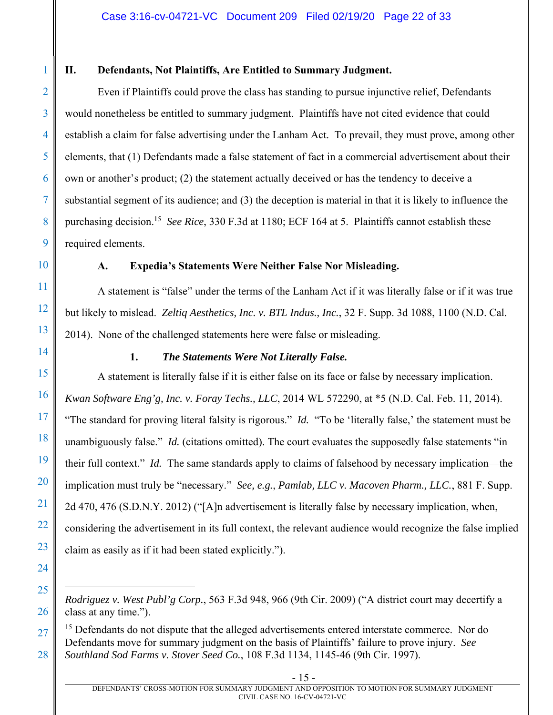## **II. Defendants, Not Plaintiffs, Are Entitled to Summary Judgment.**

Even if Plaintiffs could prove the class has standing to pursue injunctive relief, Defendants would nonetheless be entitled to summary judgment. Plaintiffs have not cited evidence that could establish a claim for false advertising under the Lanham Act. To prevail, they must prove, among other elements, that (1) Defendants made a false statement of fact in a commercial advertisement about their own or another's product; (2) the statement actually deceived or has the tendency to deceive a substantial segment of its audience; and (3) the deception is material in that it is likely to influence the purchasing decision.15 *See Rice*, 330 F.3d at 1180; ECF 164 at 5. Plaintiffs cannot establish these required elements.

## **A. Expedia's Statements Were Neither False Nor Misleading.**

A statement is "false" under the terms of the Lanham Act if it was literally false or if it was true but likely to mislead. *Zeltiq Aesthetics, Inc. v. BTL Indus., Inc.*, 32 F. Supp. 3d 1088, 1100 (N.D. Cal. 2014). None of the challenged statements here were false or misleading.

## **1.** *The Statements Were Not Literally False.*

A statement is literally false if it is either false on its face or false by necessary implication. *Kwan Software Eng'g, Inc. v. Foray Techs., LLC*, 2014 WL 572290, at \*5 (N.D. Cal. Feb. 11, 2014). "The standard for proving literal falsity is rigorous." *Id.* "To be 'literally false,' the statement must be unambiguously false." *Id.* (citations omitted). The court evaluates the supposedly false statements "in their full context." *Id.* The same standards apply to claims of falsehood by necessary implication—the implication must truly be "necessary." *See, e.g.*, *Pamlab, LLC v. Macoven Pharm., LLC.*, 881 F. Supp. 2d 470, 476 (S.D.N.Y. 2012) ("[A]n advertisement is literally false by necessary implication, when, considering the advertisement in its full context, the relevant audience would recognize the false implied claim as easily as if it had been stated explicitly.").

1

*Rodriguez v. West Publ'g Corp.*, 563 F.3d 948, 966 (9th Cir. 2009) ("A district court may decertify a class at any time.").

<sup>&</sup>lt;sup>15</sup> Defendants do not dispute that the alleged advertisements entered interstate commerce. Nor do Defendants move for summary judgment on the basis of Plaintiffs' failure to prove injury. *See Southland Sod Farms v. Stover Seed Co.*, 108 F.3d 1134, 1145-46 (9th Cir. 1997).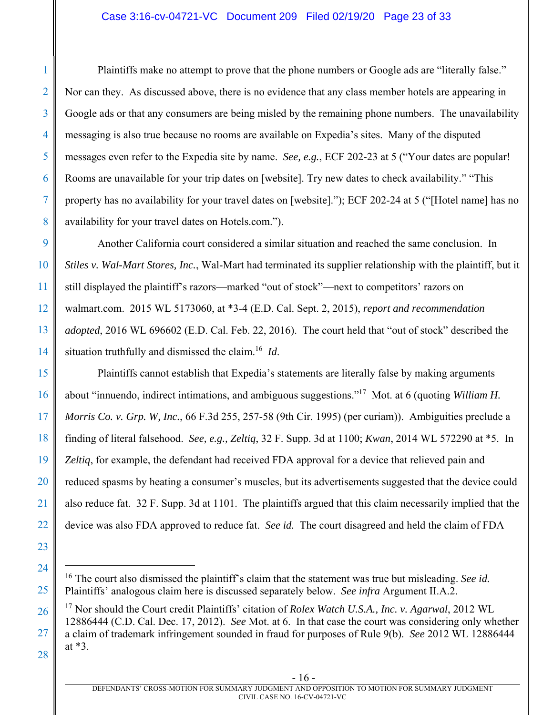## Case 3:16-cv-04721-VC Document 209 Filed 02/19/20 Page 23 of 33

Plaintiffs make no attempt to prove that the phone numbers or Google ads are "literally false." Nor can they. As discussed above, there is no evidence that any class member hotels are appearing in Google ads or that any consumers are being misled by the remaining phone numbers. The unavailability messaging is also true because no rooms are available on Expedia's sites. Many of the disputed messages even refer to the Expedia site by name. *See, e.g.*, ECF 202-23 at 5 ("Your dates are popular! Rooms are unavailable for your trip dates on [website]. Try new dates to check availability." "This property has no availability for your travel dates on [website]."); ECF 202-24 at 5 ("[Hotel name] has no availability for your travel dates on Hotels.com.").

Another California court considered a similar situation and reached the same conclusion. In *Stiles v. Wal-Mart Stores, Inc.*, Wal-Mart had terminated its supplier relationship with the plaintiff, but it still displayed the plaintiff's razors—marked "out of stock"—next to competitors' razors on walmart.com. 2015 WL 5173060, at \*3-4 (E.D. Cal. Sept. 2, 2015), *report and recommendation adopted*, 2016 WL 696602 (E.D. Cal. Feb. 22, 2016). The court held that "out of stock" described the situation truthfully and dismissed the claim.16 *Id*.

Plaintiffs cannot establish that Expedia's statements are literally false by making arguments about "innuendo, indirect intimations, and ambiguous suggestions."17 Mot. at 6 (quoting *William H. Morris Co. v. Grp. W, Inc.*, 66 F.3d 255, 257-58 (9th Cir. 1995) (per curiam)). Ambiguities preclude a finding of literal falsehood. *See, e.g., Zeltiq*, 32 F. Supp. 3d at 1100; *Kwan*, 2014 WL 572290 at \*5. In *Zeltiq*, for example, the defendant had received FDA approval for a device that relieved pain and reduced spasms by heating a consumer's muscles, but its advertisements suggested that the device could also reduce fat. 32 F. Supp. 3d at 1101. The plaintiffs argued that this claim necessarily implied that the device was also FDA approved to reduce fat. *See id.* The court disagreed and held the claim of FDA

<u>.</u>

1

2

3

4

5

6

7

8

<sup>16</sup> The court also dismissed the plaintiff's claim that the statement was true but misleading. *See id.* Plaintiffs' analogous claim here is discussed separately below. *See infra* Argument II.A.2.

<sup>17</sup> Nor should the Court credit Plaintiffs' citation of *Rolex Watch U.S.A., Inc. v. Agarwal*, 2012 WL 12886444 (C.D. Cal. Dec. 17, 2012). *See* Mot. at 6. In that case the court was considering only whether a claim of trademark infringement sounded in fraud for purposes of Rule 9(b). *See* 2012 WL 12886444 at \*3.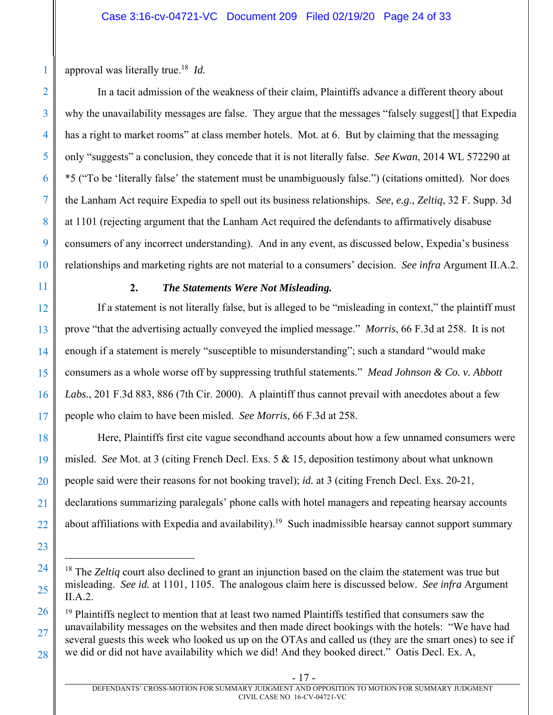approval was literally true.18 *Id.* 

In a tacit admission of the weakness of their claim, Plaintiffs advance a different theory about why the unavailability messages are false. They argue that the messages "falsely suggest[] that Expedia has a right to market rooms" at class member hotels. Mot. at 6. But by claiming that the messaging only "suggests" a conclusion, they concede that it is not literally false. *See Kwan*, 2014 WL 572290 at \*5 ("To be 'literally false' the statement must be unambiguously false.") (citations omitted). Nor does the Lanham Act require Expedia to spell out its business relationships. *See, e.g.*, *Zeltiq*, 32 F. Supp. 3d at 1101 (rejecting argument that the Lanham Act required the defendants to affirmatively disabuse consumers of any incorrect understanding). And in any event, as discussed below, Expedia's business relationships and marketing rights are not material to a consumers' decision. *See infra* Argument II.A.2.

1

2

3

4

5

6

7

8

9

10

11

12

13

14

15

16

17

18

19

20

21

22

23

24

25

26

27

28

## **2.** *The Statements Were Not Misleading.*

If a statement is not literally false, but is alleged to be "misleading in context," the plaintiff must prove "that the advertising actually conveyed the implied message." *Morris*, 66 F.3d at 258. It is not enough if a statement is merely "susceptible to misunderstanding"; such a standard "would make consumers as a whole worse off by suppressing truthful statements." *Mead Johnson & Co. v. Abbott Labs.*, 201 F.3d 883, 886 (7th Cir. 2000). A plaintiff thus cannot prevail with anecdotes about a few people who claim to have been misled. *See Morris*, 66 F.3d at 258.

Here, Plaintiffs first cite vague secondhand accounts about how a few unnamed consumers were misled. *See* Mot. at 3 (citing French Decl. Exs. 5 & 15, deposition testimony about what unknown people said were their reasons for not booking travel); *id.* at 3 (citing French Decl. Exs. 20-21, declarations summarizing paralegals' phone calls with hotel managers and repeating hearsay accounts about affiliations with Expedia and availability).<sup>19</sup> Such inadmissible hearsay cannot support summary

<sup>18</sup> The *Zeltiq* court also declined to grant an injunction based on the claim the statement was true but misleading. *See id.* at 1101, 1105. The analogous claim here is discussed below. *See infra* Argument II.A.2.

<sup>&</sup>lt;sup>19</sup> Plaintiffs neglect to mention that at least two named Plaintiffs testified that consumers saw the unavailability messages on the websites and then made direct bookings with the hotels: "We have had several guests this week who looked us up on the OTAs and called us (they are the smart ones) to see if we did or did not have availability which we did! And they booked direct." Oatis Decl. Ex. A,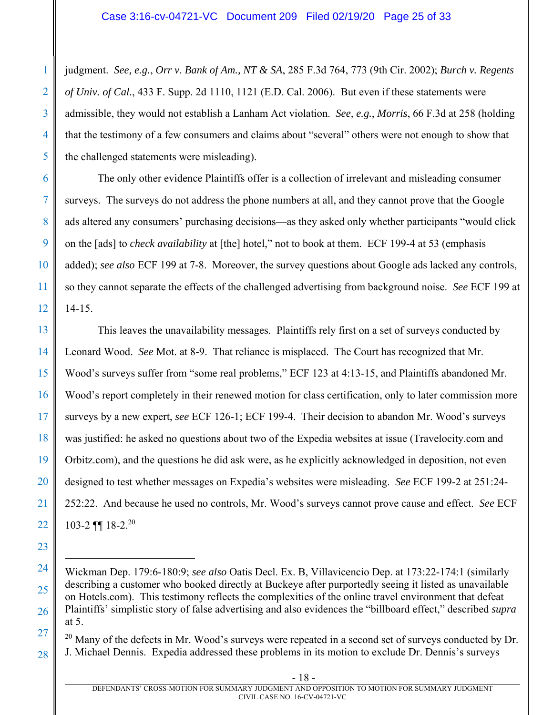judgment. *See, e.g.*, *Orr v. Bank of Am., NT & SA*, 285 F.3d 764, 773 (9th Cir. 2002); *Burch v. Regents of Univ. of Cal.*, 433 F. Supp. 2d 1110, 1121 (E.D. Cal. 2006). But even if these statements were admissible, they would not establish a Lanham Act violation. *See, e.g.*, *Morris*, 66 F.3d at 258 (holding that the testimony of a few consumers and claims about "several" others were not enough to show that the challenged statements were misleading).

The only other evidence Plaintiffs offer is a collection of irrelevant and misleading consumer surveys. The surveys do not address the phone numbers at all, and they cannot prove that the Google ads altered any consumers' purchasing decisions—as they asked only whether participants "would click on the [ads] to *check availability* at [the] hotel," not to book at them. ECF 199-4 at 53 (emphasis added); *see also* ECF 199 at 7-8. Moreover, the survey questions about Google ads lacked any controls, so they cannot separate the effects of the challenged advertising from background noise. *See* ECF 199 at 14-15.

This leaves the unavailability messages. Plaintiffs rely first on a set of surveys conducted by Leonard Wood. *See* Mot. at 8-9. That reliance is misplaced. The Court has recognized that Mr. Wood's surveys suffer from "some real problems," ECF 123 at 4:13-15, and Plaintiffs abandoned Mr. Wood's report completely in their renewed motion for class certification, only to later commission more surveys by a new expert, *see* ECF 126-1; ECF 199-4. Their decision to abandon Mr. Wood's surveys was justified: he asked no questions about two of the Expedia websites at issue (Travelocity.com and Orbitz.com), and the questions he did ask were, as he explicitly acknowledged in deposition, not even designed to test whether messages on Expedia's websites were misleading. *See* ECF 199-2 at 251:24- 252:22. And because he used no controls, Mr. Wood's surveys cannot prove cause and effect. *See* ECF 103-2  $\P\P$  18-2.<sup>20</sup>

 $\overline{a}$ 

1

2

Wickman Dep. 179:6-180:9; *see also* Oatis Decl. Ex. B, Villavicencio Dep. at 173:22-174:1 (similarly describing a customer who booked directly at Buckeye after purportedly seeing it listed as unavailable on Hotels.com). This testimony reflects the complexities of the online travel environment that defeat Plaintiffs' simplistic story of false advertising and also evidences the "billboard effect," described *supra*  at 5.

<sup>&</sup>lt;sup>20</sup> Many of the defects in Mr. Wood's surveys were repeated in a second set of surveys conducted by Dr. J. Michael Dennis. Expedia addressed these problems in its motion to exclude Dr. Dennis's surveys

DEFENDANTS' CROSS-MOTION FOR SUMMARY JUDGMENT AND OPPOSITION TO MOTION FOR SUMMARY JUDGMENT CIVIL CASE NO. 16-CV-04721-VC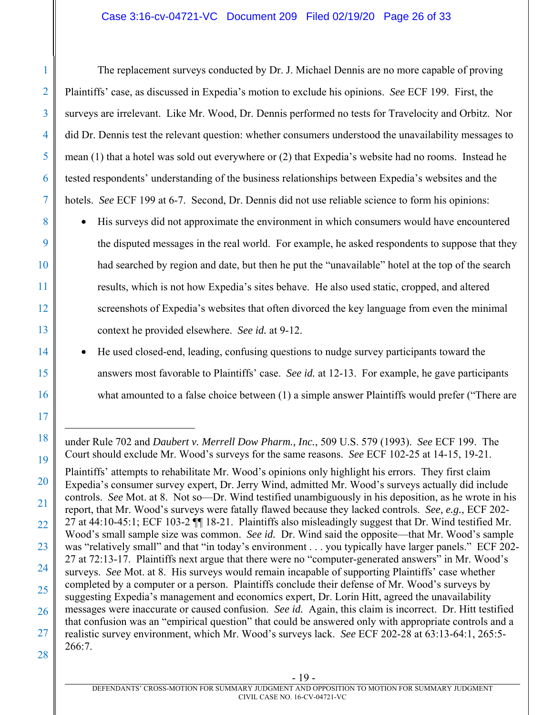## Case 3:16-cv-04721-VC Document 209 Filed 02/19/20 Page 26 of 33

1

2

3

4

5

6

7

8

9

10

11

12

13

14

15

16

17

18

 $\overline{a}$ 

19

21

28

The replacement surveys conducted by Dr. J. Michael Dennis are no more capable of proving Plaintiffs' case, as discussed in Expedia's motion to exclude his opinions. *See* ECF 199. First, the surveys are irrelevant. Like Mr. Wood, Dr. Dennis performed no tests for Travelocity and Orbitz. Nor did Dr. Dennis test the relevant question: whether consumers understood the unavailability messages to mean (1) that a hotel was sold out everywhere or (2) that Expedia's website had no rooms. Instead he tested respondents' understanding of the business relationships between Expedia's websites and the hotels. *See* ECF 199 at 6-7. Second, Dr. Dennis did not use reliable science to form his opinions:

• His surveys did not approximate the environment in which consumers would have encountered the disputed messages in the real world. For example, he asked respondents to suppose that they had searched by region and date, but then he put the "unavailable" hotel at the top of the search results, which is not how Expedia's sites behave. He also used static, cropped, and altered screenshots of Expedia's websites that often divorced the key language from even the minimal context he provided elsewhere. *See id.* at 9-12.

• He used closed-end, leading, confusing questions to nudge survey participants toward the answers most favorable to Plaintiffs' case. *See id.* at 12-13. For example, he gave participants what amounted to a false choice between (1) a simple answer Plaintiffs would prefer ("There are

20 22 23 24 25 26 27 Plaintiffs' attempts to rehabilitate Mr. Wood's opinions only highlight his errors. They first claim Expedia's consumer survey expert, Dr. Jerry Wind, admitted Mr. Wood's surveys actually did include controls. *See* Mot. at 8. Not so—Dr. Wind testified unambiguously in his deposition, as he wrote in his report, that Mr. Wood's surveys were fatally flawed because they lacked controls. *See, e.g.*, ECF 202- 27 at 44:10-45:1; ECF 103-2 ¶¶ 18-21. Plaintiffs also misleadingly suggest that Dr. Wind testified Mr. Wood's small sample size was common. *See id.* Dr. Wind said the opposite—that Mr. Wood's sample was "relatively small" and that "in today's environment . . . you typically have larger panels." ECF 202- 27 at 72:13-17. Plaintiffs next argue that there were no "computer-generated answers" in Mr. Wood's surveys. *See* Mot. at 8. His surveys would remain incapable of supporting Plaintiffs' case whether completed by a computer or a person. Plaintiffs conclude their defense of Mr. Wood's surveys by suggesting Expedia's management and economics expert, Dr. Lorin Hitt, agreed the unavailability messages were inaccurate or caused confusion. *See id.* Again, this claim is incorrect. Dr. Hitt testified that confusion was an "empirical question" that could be answered only with appropriate controls and a realistic survey environment, which Mr. Wood's surveys lack. *See* ECF 202-28 at 63:13-64:1, 265:5- 266:7.

under Rule 702 and *Daubert v. Merrell Dow Pharm., Inc.*, 509 U.S. 579 (1993). *See* ECF 199. The Court should exclude Mr. Wood's surveys for the same reasons. *See* ECF 102-25 at 14-15, 19-21.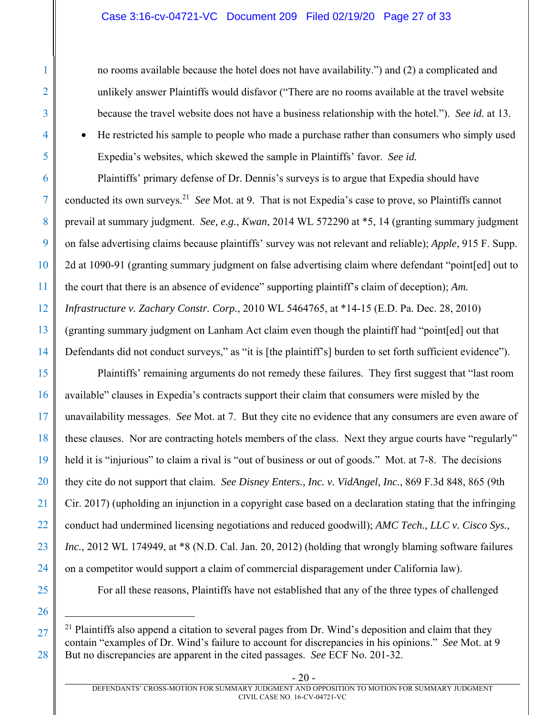no rooms available because the hotel does not have availability.") and (2) a complicated and unlikely answer Plaintiffs would disfavor ("There are no rooms available at the travel website because the travel website does not have a business relationship with the hotel."). *See id.* at 13.

• He restricted his sample to people who made a purchase rather than consumers who simply used Expedia's websites, which skewed the sample in Plaintiffs' favor. *See id.*

Plaintiffs' primary defense of Dr. Dennis's surveys is to argue that Expedia should have conducted its own surveys.21 *See* Mot. at 9. That is not Expedia's case to prove, so Plaintiffs cannot prevail at summary judgment. *See, e.g.*, *Kwan*, 2014 WL 572290 at \*5, 14 (granting summary judgment on false advertising claims because plaintiffs' survey was not relevant and reliable); *Apple*, 915 F. Supp. 2d at 1090-91 (granting summary judgment on false advertising claim where defendant "point[ed] out to the court that there is an absence of evidence" supporting plaintiff's claim of deception); *Am. Infrastructure v. Zachary Constr. Corp.*, 2010 WL 5464765, at \*14-15 (E.D. Pa. Dec. 28, 2010) (granting summary judgment on Lanham Act claim even though the plaintiff had "point[ed] out that Defendants did not conduct surveys," as "it is [the plaintiff's] burden to set forth sufficient evidence").

Plaintiffs' remaining arguments do not remedy these failures. They first suggest that "last room available" clauses in Expedia's contracts support their claim that consumers were misled by the unavailability messages. *See* Mot. at 7. But they cite no evidence that any consumers are even aware of these clauses. Nor are contracting hotels members of the class. Next they argue courts have "regularly" held it is "injurious" to claim a rival is "out of business or out of goods." Mot. at 7-8. The decisions they cite do not support that claim. *See Disney Enters., Inc. v. VidAngel, Inc.*, 869 F.3d 848, 865 (9th Cir. 2017) (upholding an injunction in a copyright case based on a declaration stating that the infringing conduct had undermined licensing negotiations and reduced goodwill); *AMC Tech., LLC v. Cisco Sys., Inc.*, 2012 WL 174949, at \*8 (N.D. Cal. Jan. 20, 2012) (holding that wrongly blaming software failures on a competitor would support a claim of commercial disparagement under California law).

- For all these reasons, Plaintiffs have not established that any of the three types of challenged
- 

<u>.</u>

1

2

3

4

<sup>&</sup>lt;sup>21</sup> Plaintiffs also append a citation to several pages from Dr. Wind's deposition and claim that they contain "examples of Dr. Wind's failure to account for discrepancies in his opinions." *See* Mot. at 9 But no discrepancies are apparent in the cited passages. *See* ECF No. 201-32.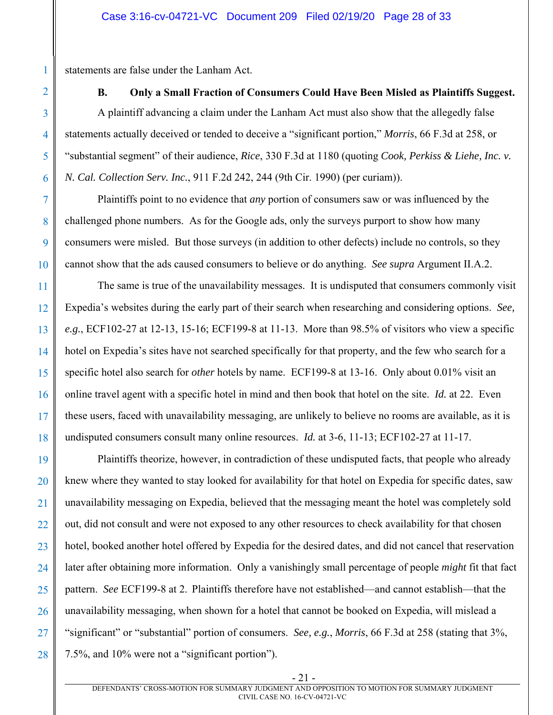statements are false under the Lanham Act.

**B. Only a Small Fraction of Consumers Could Have Been Misled as Plaintiffs Suggest.**  A plaintiff advancing a claim under the Lanham Act must also show that the allegedly false statements actually deceived or tended to deceive a "significant portion," *Morris*, 66 F.3d at 258, or "substantial segment" of their audience, *Rice*, 330 F.3d at 1180 (quoting *Cook, Perkiss & Liehe, Inc. v. N. Cal. Collection Serv. Inc.*, 911 F.2d 242, 244 (9th Cir. 1990) (per curiam)).

Plaintiffs point to no evidence that *any* portion of consumers saw or was influenced by the challenged phone numbers. As for the Google ads, only the surveys purport to show how many consumers were misled. But those surveys (in addition to other defects) include no controls, so they cannot show that the ads caused consumers to believe or do anything. *See supra* Argument II.A.2.

The same is true of the unavailability messages. It is undisputed that consumers commonly visit Expedia's websites during the early part of their search when researching and considering options. *See, e.g.*, ECF102-27 at 12-13, 15-16; ECF199-8 at 11-13. More than 98.5% of visitors who view a specific hotel on Expedia's sites have not searched specifically for that property, and the few who search for a specific hotel also search for *other* hotels by name. ECF199-8 at 13-16. Only about 0.01% visit an online travel agent with a specific hotel in mind and then book that hotel on the site. *Id.* at 22. Even these users, faced with unavailability messaging, are unlikely to believe no rooms are available, as it is undisputed consumers consult many online resources. *Id.* at 3-6, 11-13; ECF102-27 at 11-17.

27 28 Plaintiffs theorize, however, in contradiction of these undisputed facts, that people who already knew where they wanted to stay looked for availability for that hotel on Expedia for specific dates, saw unavailability messaging on Expedia, believed that the messaging meant the hotel was completely sold out, did not consult and were not exposed to any other resources to check availability for that chosen hotel, booked another hotel offered by Expedia for the desired dates, and did not cancel that reservation later after obtaining more information. Only a vanishingly small percentage of people *might* fit that fact pattern. *See* ECF199-8 at 2. Plaintiffs therefore have not established—and cannot establish—that the unavailability messaging, when shown for a hotel that cannot be booked on Expedia, will mislead a "significant" or "substantial" portion of consumers. *See, e.g.*, *Morris*, 66 F.3d at 258 (stating that 3%, 7.5%, and 10% were not a "significant portion").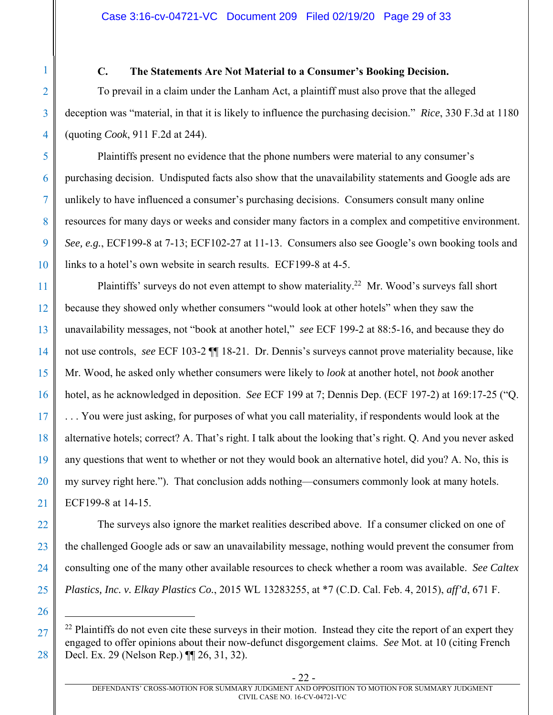## **C. The Statements Are Not Material to a Consumer's Booking Decision.**

1

2

3

4

5

6

7

8

9

10

26

 $\overline{a}$ 

27

28

To prevail in a claim under the Lanham Act, a plaintiff must also prove that the alleged deception was "material, in that it is likely to influence the purchasing decision." *Rice*, 330 F.3d at 1180 (quoting *Cook*, 911 F.2d at 244).

Plaintiffs present no evidence that the phone numbers were material to any consumer's purchasing decision. Undisputed facts also show that the unavailability statements and Google ads are unlikely to have influenced a consumer's purchasing decisions. Consumers consult many online resources for many days or weeks and consider many factors in a complex and competitive environment. *See, e.g.*, ECF199-8 at 7-13; ECF102-27 at 11-13. Consumers also see Google's own booking tools and links to a hotel's own website in search results. ECF199-8 at 4-5.

11 12 13 14 15 16 17 18 19 20 21 Plaintiffs' surveys do not even attempt to show materiality.<sup>22</sup> Mr. Wood's surveys fall short because they showed only whether consumers "would look at other hotels" when they saw the unavailability messages, not "book at another hotel," *see* ECF 199-2 at 88:5-16, and because they do not use controls, *see* ECF 103-2 ¶¶ 18-21. Dr. Dennis's surveys cannot prove materiality because, like Mr. Wood, he asked only whether consumers were likely to *look* at another hotel, not *book* another hotel, as he acknowledged in deposition. *See* ECF 199 at 7; Dennis Dep. (ECF 197-2) at 169:17-25 ("Q. . . . You were just asking, for purposes of what you call materiality, if respondents would look at the alternative hotels; correct? A. That's right. I talk about the looking that's right. Q. And you never asked any questions that went to whether or not they would book an alternative hotel, did you? A. No, this is my survey right here."). That conclusion adds nothing—consumers commonly look at many hotels. ECF199-8 at 14-15.

22 23 24 25 The surveys also ignore the market realities described above. If a consumer clicked on one of the challenged Google ads or saw an unavailability message, nothing would prevent the consumer from consulting one of the many other available resources to check whether a room was available. *See Caltex Plastics, Inc. v. Elkay Plastics Co.*, 2015 WL 13283255, at \*7 (C.D. Cal. Feb. 4, 2015), *aff'd*, 671 F.

 $22$  Plaintiffs do not even cite these surveys in their motion. Instead they cite the report of an expert they engaged to offer opinions about their now-defunct disgorgement claims. *See* Mot. at 10 (citing French Decl. Ex. 29 (Nelson Rep.) ¶¶ 26, 31, 32).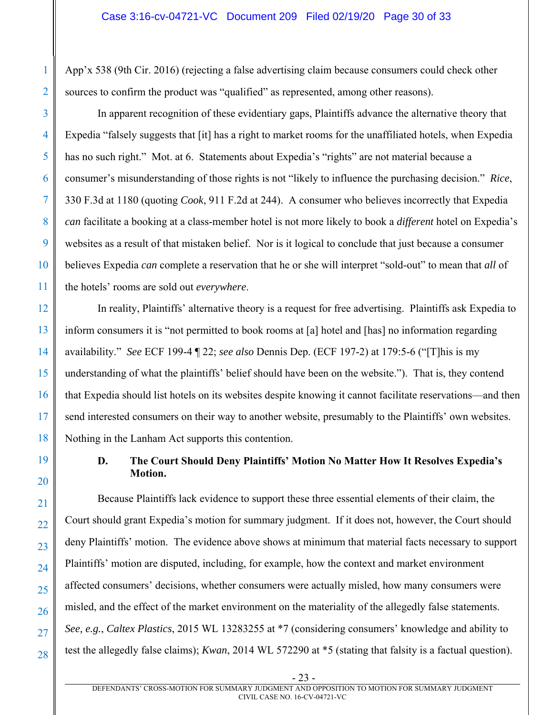App'x 538 (9th Cir. 2016) (rejecting a false advertising claim because consumers could check other sources to confirm the product was "qualified" as represented, among other reasons).

In apparent recognition of these evidentiary gaps, Plaintiffs advance the alternative theory that Expedia "falsely suggests that [it] has a right to market rooms for the unaffiliated hotels, when Expedia has no such right." Mot. at 6. Statements about Expedia's "rights" are not material because a consumer's misunderstanding of those rights is not "likely to influence the purchasing decision." *Rice*, 330 F.3d at 1180 (quoting *Cook*, 911 F.2d at 244). A consumer who believes incorrectly that Expedia *can* facilitate a booking at a class-member hotel is not more likely to book a *different* hotel on Expedia's websites as a result of that mistaken belief. Nor is it logical to conclude that just because a consumer believes Expedia *can* complete a reservation that he or she will interpret "sold-out" to mean that *all* of the hotels' rooms are sold out *everywhere*.

In reality, Plaintiffs' alternative theory is a request for free advertising. Plaintiffs ask Expedia to inform consumers it is "not permitted to book rooms at [a] hotel and [has] no information regarding availability." *See* ECF 199-4 ¶ 22; *see also* Dennis Dep. (ECF 197-2) at 179:5-6 ("[T]his is my understanding of what the plaintiffs' belief should have been on the website."). That is, they contend that Expedia should list hotels on its websites despite knowing it cannot facilitate reservations—and then send interested consumers on their way to another website, presumably to the Plaintiffs' own websites. Nothing in the Lanham Act supports this contention.

# **D. The Court Should Deny Plaintiffs' Motion No Matter How It Resolves Expedia's Motion.**

Because Plaintiffs lack evidence to support these three essential elements of their claim, the Court should grant Expedia's motion for summary judgment. If it does not, however, the Court should deny Plaintiffs' motion. The evidence above shows at minimum that material facts necessary to support Plaintiffs' motion are disputed, including, for example, how the context and market environment affected consumers' decisions, whether consumers were actually misled, how many consumers were misled, and the effect of the market environment on the materiality of the allegedly false statements. *See, e.g.*, *Caltex Plastics*, 2015 WL 13283255 at \*7 (considering consumers' knowledge and ability to test the allegedly false claims); *Kwan*, 2014 WL 572290 at \*5 (stating that falsity is a factual question).

1

- 23 -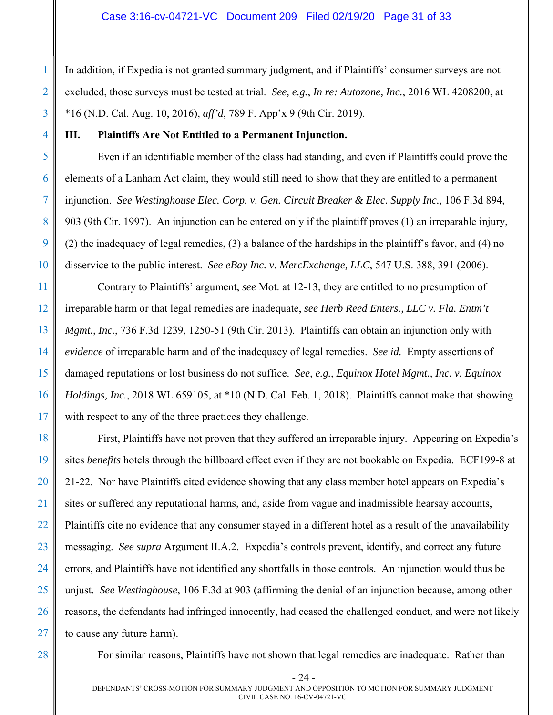In addition, if Expedia is not granted summary judgment, and if Plaintiffs' consumer surveys are not excluded, those surveys must be tested at trial. *See, e.g.*, *In re: Autozone, Inc.*, 2016 WL 4208200, at \*16 (N.D. Cal. Aug. 10, 2016), *aff'd*, 789 F. App'x 9 (9th Cir. 2019).

## **III. Plaintiffs Are Not Entitled to a Permanent Injunction.**

Even if an identifiable member of the class had standing, and even if Plaintiffs could prove the elements of a Lanham Act claim, they would still need to show that they are entitled to a permanent injunction. *See Westinghouse Elec. Corp. v. Gen. Circuit Breaker & Elec. Supply Inc.*, 106 F.3d 894, 903 (9th Cir. 1997). An injunction can be entered only if the plaintiff proves (1) an irreparable injury, (2) the inadequacy of legal remedies, (3) a balance of the hardships in the plaintiff's favor, and (4) no disservice to the public interest. *See eBay Inc. v. MercExchange, LLC*, 547 U.S. 388, 391 (2006).

12 13 14 15 16 17 Contrary to Plaintiffs' argument, *see* Mot. at 12-13, they are entitled to no presumption of irreparable harm or that legal remedies are inadequate, *see Herb Reed Enters., LLC v. Fla. Entm't Mgmt., Inc.*, 736 F.3d 1239, 1250-51 (9th Cir. 2013). Plaintiffs can obtain an injunction only with *evidence* of irreparable harm and of the inadequacy of legal remedies. *See id.* Empty assertions of damaged reputations or lost business do not suffice. *See, e.g.*, *Equinox Hotel Mgmt., Inc. v. Equinox Holdings, Inc.*, 2018 WL 659105, at \*10 (N.D. Cal. Feb. 1, 2018). Plaintiffs cannot make that showing with respect to any of the three practices they challenge.

18 19 20 21 22 23 24 25 26 27 First, Plaintiffs have not proven that they suffered an irreparable injury. Appearing on Expedia's sites *benefits* hotels through the billboard effect even if they are not bookable on Expedia. ECF199-8 at 21-22. Nor have Plaintiffs cited evidence showing that any class member hotel appears on Expedia's sites or suffered any reputational harms, and, aside from vague and inadmissible hearsay accounts, Plaintiffs cite no evidence that any consumer stayed in a different hotel as a result of the unavailability messaging. *See supra* Argument II.A.2. Expedia's controls prevent, identify, and correct any future errors, and Plaintiffs have not identified any shortfalls in those controls. An injunction would thus be unjust. *See Westinghouse*, 106 F.3d at 903 (affirming the denial of an injunction because, among other reasons, the defendants had infringed innocently, had ceased the challenged conduct, and were not likely to cause any future harm).

28

1

2

3

4

5

6

7

8

9

10

11

For similar reasons, Plaintiffs have not shown that legal remedies are inadequate. Rather than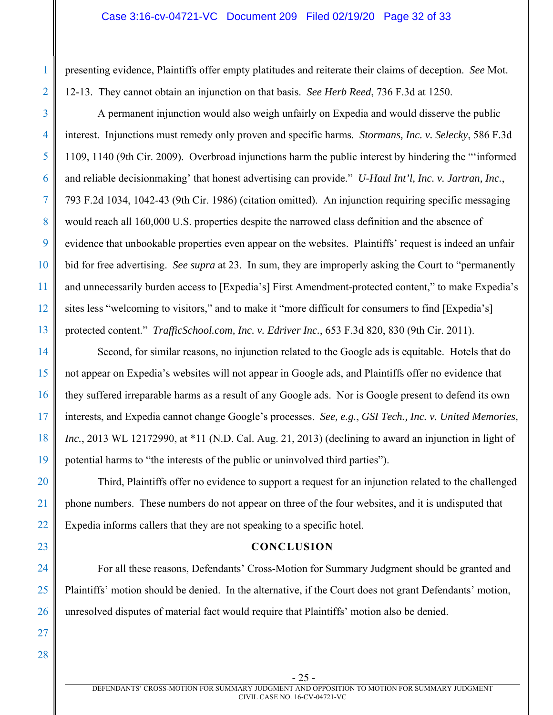#### Case 3:16-cv-04721-VC Document 209 Filed 02/19/20 Page 32 of 33

presenting evidence, Plaintiffs offer empty platitudes and reiterate their claims of deception. *See* Mot. 12-13. They cannot obtain an injunction on that basis. *See Herb Reed*, 736 F.3d at 1250.

A permanent injunction would also weigh unfairly on Expedia and would disserve the public interest. Injunctions must remedy only proven and specific harms. *Stormans, Inc. v. Selecky*, 586 F.3d 1109, 1140 (9th Cir. 2009). Overbroad injunctions harm the public interest by hindering the "'informed and reliable decisionmaking' that honest advertising can provide." *U-Haul Int'l, Inc. v. Jartran, Inc.*, 793 F.2d 1034, 1042-43 (9th Cir. 1986) (citation omitted). An injunction requiring specific messaging would reach all 160,000 U.S. properties despite the narrowed class definition and the absence of evidence that unbookable properties even appear on the websites. Plaintiffs' request is indeed an unfair bid for free advertising. *See supra* at 23. In sum, they are improperly asking the Court to "permanently and unnecessarily burden access to [Expedia's] First Amendment-protected content," to make Expedia's sites less "welcoming to visitors," and to make it "more difficult for consumers to find [Expedia's] protected content." *TrafficSchool.com, Inc. v. Edriver Inc.*, 653 F.3d 820, 830 (9th Cir. 2011).

Second, for similar reasons, no injunction related to the Google ads is equitable. Hotels that do not appear on Expedia's websites will not appear in Google ads, and Plaintiffs offer no evidence that they suffered irreparable harms as a result of any Google ads. Nor is Google present to defend its own interests, and Expedia cannot change Google's processes. *See, e.g.*, *GSI Tech., Inc. v. United Memories, Inc.*, 2013 WL 12172990, at \*11 (N.D. Cal. Aug. 21, 2013) (declining to award an injunction in light of potential harms to "the interests of the public or uninvolved third parties").

Third, Plaintiffs offer no evidence to support a request for an injunction related to the challenged phone numbers. These numbers do not appear on three of the four websites, and it is undisputed that Expedia informs callers that they are not speaking to a specific hotel.

#### **CONCLUSION**

For all these reasons, Defendants' Cross-Motion for Summary Judgment should be granted and Plaintiffs' motion should be denied. In the alternative, if the Court does not grant Defendants' motion, unresolved disputes of material fact would require that Plaintiffs' motion also be denied.